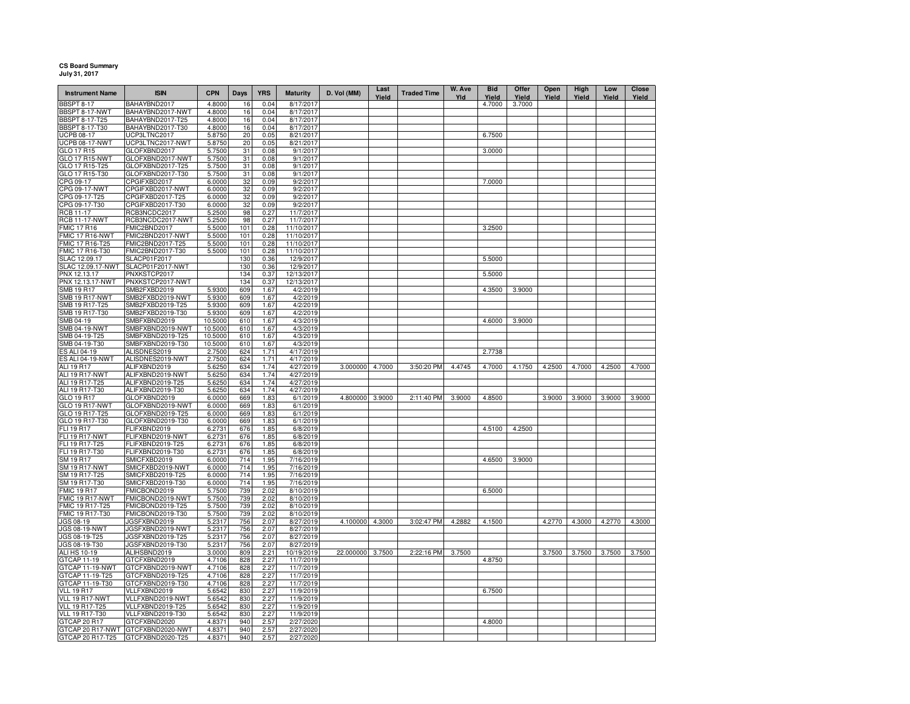## **CS Board Summary July 31, 2017**

| <b>Instrument Name</b>              | <b>ISIN</b>                          | <b>CPN</b>       | Days       | <b>YRS</b>   | <b>Maturity</b>        | D. Vol (MM)      | Last<br>Yield | <b>Traded Time</b> | W. Ave<br>Yld | <b>Bid</b><br>Yield | Offer<br>Yield | Open<br>Yield | High<br>Yield | Low<br>Yield | Close<br>Yield |
|-------------------------------------|--------------------------------------|------------------|------------|--------------|------------------------|------------------|---------------|--------------------|---------------|---------------------|----------------|---------------|---------------|--------------|----------------|
| BBSPT 8-17                          | BAHAYBND2017                         | 4.8000           | 16         | 0.04         | 8/17/2017              |                  |               |                    |               | 4.7000              | 3.7000         |               |               |              |                |
| BBSPT 8-17-NWT                      | BAHAYBND2017-NWT                     | 4.8000           | 16         | 0.04         | 8/17/2017              |                  |               |                    |               |                     |                |               |               |              |                |
| <b>BBSPT 8-17-T25</b>               | BAHAYBND2017-T25                     | 4.8000           | 16         | 0.04         | 8/17/2017              |                  |               |                    |               |                     |                |               |               |              |                |
| <b>BBSPT 8-17-T30</b>               | BAHAYBND2017-T30                     | 4.8000           | 16         | 0.04         | 8/17/2017              |                  |               |                    |               |                     |                |               |               |              |                |
| <b>UCPB 08-17</b>                   | UCP3LTNC2017                         | 5.8750           | 20         | 0.05         | 8/21/2017              |                  |               |                    |               | 6.7500              |                |               |               |              |                |
| <b>UCPB 08-17-NWT</b><br>GLO 17 R15 | UCP3LTNC2017-NWT<br>GLOFXBND2017     | 5.8750<br>5.7500 | 20<br>31   | 0.05<br>0.08 | 8/21/2017<br>9/1/2017  |                  |               |                    |               | 3.0000              |                |               |               |              |                |
| GLO 17 R15-NWT                      | GLOFXBND2017-NWT                     | 5.7500           | 31         | 0.08         | 9/1/2017               |                  |               |                    |               |                     |                |               |               |              |                |
| GLO 17 R15-T25                      | GLOFXBND2017-T25                     | 5.7500           | 31         | 0.08         | 9/1/2017               |                  |               |                    |               |                     |                |               |               |              |                |
| GLO 17 R15-T30                      | GLOFXBND2017-T30                     | 5.7500           | 31         | 0.08         | 9/1/2017               |                  |               |                    |               |                     |                |               |               |              |                |
| CPG 09-17                           | CPGIFXBD2017                         | 6.0000           | 32         | 0.09         | 9/2/2017               |                  |               |                    |               | 7.0000              |                |               |               |              |                |
| CPG 09-17-NWT                       | CPGIFXBD2017-NWT                     | 6.0000           | 32         | 0.09         | 9/2/2017               |                  |               |                    |               |                     |                |               |               |              |                |
| CPG 09-17-T25                       | CPGIFXBD2017-T25                     | 6.0000           | 32         | 0.09         | 9/2/2017               |                  |               |                    |               |                     |                |               |               |              |                |
| CPG 09-17-T30                       | CPGIFXBD2017-T30                     | 6.0000           | 32         | 0.09         | 9/2/2017               |                  |               |                    |               |                     |                |               |               |              |                |
| <b>RCB 11-17</b>                    | RCB3NCDC2017                         | 5.2500           | 98         | 0.27         | 11/7/2017              |                  |               |                    |               |                     |                |               |               |              |                |
| <b>RCB 11-17-NWT</b>                | RCB3NCDC2017-NWT                     | 5.2500           | 98         | 0.27         | 11/7/2017              |                  |               |                    |               |                     |                |               |               |              |                |
| <b>FMIC 17 R16</b>                  | FMIC2BND2017                         | 5.5000           | 101        | 0.28         | 11/10/2017             |                  |               |                    |               | 3.2500              |                |               |               |              |                |
| MIC 17 R16-NWT                      | FMIC2BND2017-NWT                     | 5.5000           | 101        | 0.28         | 11/10/2017             |                  |               |                    |               |                     |                |               |               |              |                |
| FMIC 17 R16-T25                     | FMIC2BND2017-T25                     | 5.5000           | 101        | 0.28         | 11/10/2017             |                  |               |                    |               |                     |                |               |               |              |                |
| FMIC 17 R16-T30                     | FMIC2BND2017-T30                     | 5.5000           | 101        | 0.28         | 11/10/2017             |                  |               |                    |               |                     |                |               |               |              |                |
| SLAC 12.09.17                       | SLACP01F2017                         |                  | 130        | 0.36         | 12/9/2017              |                  |               |                    |               | 5.5000              |                |               |               |              |                |
| SLAC 12.09.17-NWT                   | SLACP01F2017-NWT                     |                  | 130        | 0.36         | 12/9/2017              |                  |               |                    |               |                     |                |               |               |              |                |
| PNX 12.13.17                        | PNXKSTCP2017                         |                  | 134        | 0.37         | 12/13/2017             |                  |               |                    |               | 5.5000              |                |               |               |              |                |
| PNX 12.13.17-NWT                    | PNXKSTCP2017-NWT                     |                  | 134        | 0.37         | 12/13/2017             |                  |               |                    |               |                     |                |               |               |              |                |
| SMB 19 R17                          | SMB2FXBD2019                         | 5.9300           | 609        | 1.67         | 4/2/2019               |                  |               |                    |               | 4.3500              | 3.9000         |               |               |              |                |
| <b>SMB 19 R17-NWT</b>               | SMB2FXBD2019-NWT                     | 5.9300           | 609        | 1.67         | 4/2/2019               |                  |               |                    |               |                     |                |               |               |              |                |
| SMB 19 R17-T25                      | SMB2FXBD2019-T25                     | 5.9300           | 609        | 1.67         | 4/2/2019               |                  |               |                    |               |                     |                |               |               |              |                |
| SMB 19 R17-T30                      | SMB2FXBD2019-T30                     | 5.9300           | 609        | 1.67         | 4/2/2019               |                  |               |                    |               |                     |                |               |               |              |                |
| SMB 04-19                           | SMBFXBND2019                         | 10.5000          | 610        | 1.67         | 4/3/2019               |                  |               |                    |               | 4.6000              | 3.9000         |               |               |              |                |
| <b>SMB 04-19-NWT</b>                | SMBFXBND2019-NWT                     | 10.5000          | 610        | 1.67         | 4/3/2019               |                  |               |                    |               |                     |                |               |               |              |                |
| SMB 04-19-T25                       | SMBFXBND2019-T25                     | 10.5000          | 610        | 1.67         | 4/3/2019               |                  |               |                    |               |                     |                |               |               |              |                |
| SMB 04-19-T30                       | SMBFXBND2019-T30                     | 10.5000          | 610        | 1.67         | 4/3/2019<br>4/17/2019  |                  |               |                    |               |                     |                |               |               |              |                |
| ES ALI 04-19<br>ES ALI 04-19-NWT    | ALISDNES2019<br>ALISDNES2019-NWT     | 2.7500<br>2.7500 | 624<br>624 | 1.71<br>1.71 | 4/17/2019              |                  |               |                    |               | 2.7738              |                |               |               |              |                |
| ALI 19 R17                          | ALIFXBND2019                         | 5.6250           | 634        | 1.74         | 4/27/2019              | 3.000000 4.7000  |               | 3:50:20 PM         | 4.4745        | 4.7000              | 4.1750         | 4.2500        | 4.7000        | 4.2500       | 4.7000         |
| ALI 19 R17-NWT                      | ALIFXBND2019-NWT                     | 5.6250           | 634        | 1.74         | 4/27/2019              |                  |               |                    |               |                     |                |               |               |              |                |
| ALI 19 R17-T25                      | ALIFXBND2019-T25                     | 5.6250           | 634        | 1.74         | 4/27/2019              |                  |               |                    |               |                     |                |               |               |              |                |
| ALI 19 R17-T30                      | ALIFXBND2019-T30                     | 5.6250           | 634        | 1.74         | 4/27/2019              |                  |               |                    |               |                     |                |               |               |              |                |
| GLO 19 R17                          | GLOFXBND2019                         | 6.0000           | 669        | 1.83         | 6/1/2019               | 4.800000 3.9000  |               | 2:11:40 PM         | 3.9000        | 4.8500              |                | 3.9000        | 3.9000        | 3.9000       | 3.9000         |
| GLO 19 R17-NWT                      | GLOFXBND2019-NWT                     | 6.0000           | 669        | 1.83         | 6/1/2019               |                  |               |                    |               |                     |                |               |               |              |                |
| GLO 19 R17-T25                      | GLOFXBND2019-T25                     | 6.0000           | 669        | 1.83         | 6/1/2019               |                  |               |                    |               |                     |                |               |               |              |                |
| GLO 19 R17-T30                      | GLOFXBND2019-T30                     | 6.0000           | 669        | 1.83         | 6/1/2019               |                  |               |                    |               |                     |                |               |               |              |                |
| <b>FLI 19 R17</b>                   | FLIFXBND2019                         | 6.2731           | 676        | 1.85         | 6/8/2019               |                  |               |                    |               | 4.5100              | 4.2500         |               |               |              |                |
| <b>FLI 19 R17-NWT</b>               | FLIFXBND2019-NWT                     | 6.2731           | 676        | 1.85         | 6/8/2019               |                  |               |                    |               |                     |                |               |               |              |                |
| FLI 19 R17-T25                      | FLIFXBND2019-T25                     | 6.2731           | 676        | 1.85         | 6/8/2019               |                  |               |                    |               |                     |                |               |               |              |                |
| FLI 19 R17-T30                      | FLIFXBND2019-T30                     | 6.2731           | 676        | 1.85         | 6/8/2019               |                  |               |                    |               |                     |                |               |               |              |                |
| SM 19 R17                           | SMICFXBD2019                         | 6.0000           | 714        | 1.95         | 7/16/2019              |                  |               |                    |               | 4.6500              | 3.9000         |               |               |              |                |
| SM 19 R17-NWT                       | SMICFXBD2019-NWT                     | 6.0000           | 714        | 1.95         | 7/16/2019              |                  |               |                    |               |                     |                |               |               |              |                |
| SM 19 R17-T25                       | SMICFXBD2019-T25                     | 6.0000           | 714        | 1.95         | 7/16/2019              |                  |               |                    |               |                     |                |               |               |              |                |
| SM 19 R17-T30                       | SMICFXBD2019-T30                     | 6.0000           | 714        | 1.95         | 7/16/2019              |                  |               |                    |               |                     |                |               |               |              |                |
| <b>FMIC 19 R17</b>                  | FMICBOND2019                         | 5.7500           | 739        | 2.02         | 8/10/2019              |                  |               |                    |               | 6.5000              |                |               |               |              |                |
| FMIC 19 R17-NWT                     | FMICBOND2019-NWT                     | 5.7500           | 739        | 2.02         | 8/10/2019              |                  |               |                    |               |                     |                |               |               |              |                |
| FMIC 19 R17-T25<br>FMIC 19 R17-T30  | FMICBOND2019-T25<br>FMICBOND2019-T30 | 5.7500<br>5.7500 | 739<br>739 | 2.02<br>2.02 | 8/10/2019<br>8/10/2019 |                  |               |                    |               |                     |                |               |               |              |                |
| JGS 08-19                           | JGSFXBND2019                         | 5.2317           | 756        | 2.07         | 8/27/2019              | 4.100000 4.3000  |               | 3:02:47 PM         | 4.2882        | 4.1500              |                | 4.2770        | 4.3000        | 4.2770       | 4.3000         |
| <b>JGS 08-19-NWT</b>                | JGSFXBND2019-NWT                     | 5.2317           | 756        | 2.07         | 8/27/2019              |                  |               |                    |               |                     |                |               |               |              |                |
| JGS 08-19-T25                       | JGSFXBND2019-T25                     | 5.2317           | 756        | 2.07         | 8/27/2019              |                  |               |                    |               |                     |                |               |               |              |                |
| JGS 08-19-T30                       | JGSFXBND2019-T30                     | 5.2317           | 756        | 2.07         | 8/27/2019              |                  |               |                    |               |                     |                |               |               |              |                |
| <b>ALI HS 10-19</b>                 | ALIHSBND2019                         | 3.0000           | 809        | 2.21         | 10/19/2019             | 22.000000 3.7500 |               | 2:22:16 PM         | 3.7500        |                     |                | 3.7500        | 3.7500        | 3.7500       | 3.7500         |
| GTCAP 11-19                         | GTCFXBND2019                         | 4.7106           | 828        | 2.27         | 11/7/2019              |                  |               |                    |               | 4.8750              |                |               |               |              |                |
| GTCAP 11-19-NWT                     | GTCFXBND2019-NWT                     | 4.7106           | 828        | 2.27         | 11/7/2019              |                  |               |                    |               |                     |                |               |               |              |                |
| GTCAP 11-19-T25                     | GTCFXBND2019-T25                     | 4.7106           | 828        | 2.27         | 11/7/2019              |                  |               |                    |               |                     |                |               |               |              |                |
| GTCAP 11-19-T30                     | GTCFXBND2019-T30                     | 4.7106           | 828        | 2.27         | 11/7/2019              |                  |               |                    |               |                     |                |               |               |              |                |
| <b>VLL 19 R17</b>                   | VLLFXBND2019                         | 5.6542           | 830        | 2.27         | 11/9/2019              |                  |               |                    |               | 6.7500              |                |               |               |              |                |
| VLL 19 R17-NWT                      | VLLFXBND2019-NWT                     | 5.6542           | 830        | 2.27         | 11/9/2019              |                  |               |                    |               |                     |                |               |               |              |                |
| <b>VLL 19 R17-T25</b>               | VLLFXBND2019-T25                     | 5.6542           | 830        | 2.27         | 11/9/2019              |                  |               |                    |               |                     |                |               |               |              |                |
| VLL 19 R17-T30                      | VLLFXBND2019-T30                     | 5.6542           | 830        | 2.27         | 11/9/2019              |                  |               |                    |               |                     |                |               |               |              |                |
| GTCAP 20 R17                        | GTCFXBND2020                         | 4.8371           | 940        | 2.57         | 2/27/2020              |                  |               |                    |               | 4.8000              |                |               |               |              |                |
| GTCAP 20 R17-NWT                    | GTCFXBND2020-NWT                     | 4.8371           | 940        | 2.57         | 2/27/2020              |                  |               |                    |               |                     |                |               |               |              |                |
| GTCAP 20 R17-T25                    | GTCFXBND2020-T25                     | 4.8371           | 940        | 2.57         | 2/27/2020              |                  |               |                    |               |                     |                |               |               |              |                |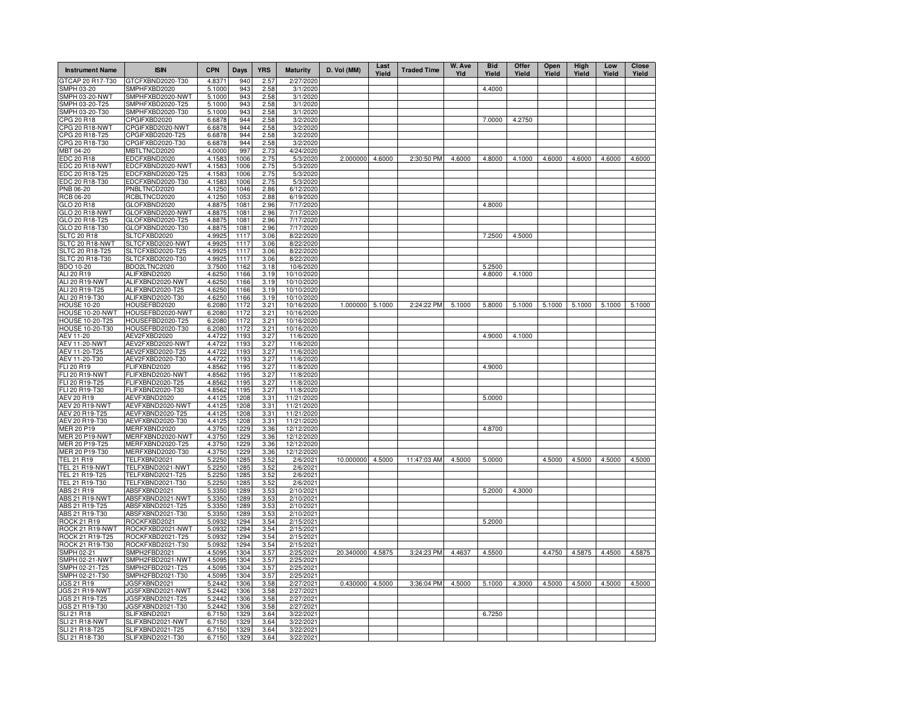| <b>Instrument Name</b>             | <b>ISIN</b>                          | <b>CPN</b>       | Days         | <b>YRS</b>   | <b>Maturity</b>        | D. Vol (MM)     | Last<br>Yield | <b>Traded Time</b> | W. Ave<br>Yld | <b>Bid</b><br>Yield | Offer<br>Yield | Open<br>Yield | High<br>Yield | Low<br>Yield | <b>Close</b><br>Yield |
|------------------------------------|--------------------------------------|------------------|--------------|--------------|------------------------|-----------------|---------------|--------------------|---------------|---------------------|----------------|---------------|---------------|--------------|-----------------------|
| GTCAP 20 R17-T30                   | GTCFXBND2020-T30                     | 4.8371           | 940          | 2.57         | 2/27/2020              |                 |               |                    |               |                     |                |               |               |              |                       |
| SMPH 03-20                         | SMPHFXBD2020                         | 5.1000           | 943          | 2.58         | 3/1/2020               |                 |               |                    |               | 4.4000              |                |               |               |              |                       |
| <b>SMPH 03-20-NWT</b>              | SMPHFXBD2020-NWT                     | 5.1000           | 943          | 2.58         | 3/1/2020               |                 |               |                    |               |                     |                |               |               |              |                       |
| SMPH 03-20-T25                     | SMPHFXBD2020-T25                     | 5.1000           | 943          | 2.58         | 3/1/2020               |                 |               |                    |               |                     |                |               |               |              |                       |
| SMPH 03-20-T30                     | SMPHFXBD2020-T30                     | 5.1000           | 943          | 2.58         | 3/1/2020               |                 |               |                    |               |                     |                |               |               |              |                       |
| CPG 20 R18<br>CPG 20 R18-NWT       | CPGIFXBD2020<br>CPGIFXBD2020-NWT     | 6.6878<br>6.6878 | 944<br>944   | 2.58<br>2.58 | 3/2/2020<br>3/2/2020   |                 |               |                    |               | 7.0000              | 4.2750         |               |               |              |                       |
| CPG 20 R18-T25                     | CPGIFXBD2020-T25                     | 6.6878           | 944          | 2.58         | 3/2/2020               |                 |               |                    |               |                     |                |               |               |              |                       |
| CPG 20 R18-T30                     | CPGIFXBD2020-T30                     | 6.6878           | 944          | 2.58         | 3/2/2020               |                 |               |                    |               |                     |                |               |               |              |                       |
| MBT 04-20                          | MBTLTNCD2020                         | 4.0000           | 997          | 2.73         | 4/24/2020              |                 |               |                    |               |                     |                |               |               |              |                       |
| <b>EDC 20 R18</b>                  | EDCFXBND2020                         | 4.1583           | 1006         | 2.75         | 5/3/2020               | 2.000000        | 4.6000        | 2:30:50 PM         | 4.6000        | 4.8000              | 4.1000         | 4.6000        | 4.6000        | 4.6000       | 4.6000                |
| EDC 20 R18-NWT                     | EDCFXBND2020-NWT                     | 4.1583           | 1006         | 2.75         | 5/3/2020               |                 |               |                    |               |                     |                |               |               |              |                       |
| EDC 20 R18-T25                     | EDCFXBND2020-T25                     | 4.1583           | 1006         | 2.75         | 5/3/2020               |                 |               |                    |               |                     |                |               |               |              |                       |
| EDC 20 R18-T30                     | EDCFXBND2020-T30                     | 4.1583           | 1006         | 2.75         | 5/3/2020               |                 |               |                    |               |                     |                |               |               |              |                       |
| <b>PNB 06-20</b>                   | PNBLTNCD2020                         | 4.1250           | 1046         | 2.86         | 6/12/2020              |                 |               |                    |               |                     |                |               |               |              |                       |
| <b>RCB 06-20</b>                   | RCBLTNCD2020                         | 4.1250           | 1053         | 2.88         | 6/19/2020              |                 |               |                    |               |                     |                |               |               |              |                       |
| GLO 20 R18                         | GLOFXBND2020                         | 4.8875           | 1081         | 2.96         | 7/17/2020              |                 |               |                    |               | 4.8000              |                |               |               |              |                       |
| GLO 20 R18-NWT                     | GLOFXBND2020-NWT                     | 4.8875           | 1081         | 2.96         | 7/17/2020              |                 |               |                    |               |                     |                |               |               |              |                       |
| GLO 20 R18-T25                     | GLOFXBND2020-T25                     | 4.8875           | 1081         | 2.96         | 7/17/2020              |                 |               |                    |               |                     |                |               |               |              |                       |
| GLO 20 R18-T30                     | GLOFXBND2020-T30                     | 4.8875           | 1081         | 2.96         | 7/17/2020              |                 |               |                    |               |                     |                |               |               |              |                       |
| <b>SLTC 20 R18</b>                 | SLTCFXBD2020                         | 4.9925           | 1117         | 3.06         | 8/22/2020              |                 |               |                    |               | 7.2500              | 4.5000         |               |               |              |                       |
| SLTC 20 R18-NWT<br>SLTC 20 R18-T25 | SLTCFXBD2020-NWT                     | 4.9925<br>4.9925 | 1117<br>1117 | 3.06<br>3.06 | 8/22/2020<br>8/22/2020 |                 |               |                    |               |                     |                |               |               |              |                       |
| SLTC 20 R18-T30                    | SLTCFXBD2020-T25<br>SLTCFXBD2020-T30 | 4.9925           | 1117         | 3.06         | 8/22/2020              |                 |               |                    |               |                     |                |               |               |              |                       |
| BDO 10-20                          | BDO2LTNC2020                         | 3.7500           | 1162         | 3.18         | 10/6/2020              |                 |               |                    |               | 5.2500              |                |               |               |              |                       |
| ALI 20 R19                         | ALIFXBND2020                         | 4.6250           | 1166         | 3.19         | 10/10/2020             |                 |               |                    |               | 4.8000              | 4.1000         |               |               |              |                       |
| ALI 20 R19-NWT                     | ALIFXBND2020-NWT                     | 4.6250           | 1166         | 3.19         | 10/10/2020             |                 |               |                    |               |                     |                |               |               |              |                       |
| ALI 20 R19-T25                     | ALIFXBND2020-T25                     | 4.6250           | 1166         | 3.19         | 10/10/2020             |                 |               |                    |               |                     |                |               |               |              |                       |
| ALI 20 R19-T30                     | ALIFXBND2020-T30                     | 4.6250           | 1166         | 3.19         | 10/10/2020             |                 |               |                    |               |                     |                |               |               |              |                       |
| <b>HOUSE 10-20</b>                 | HOUSEFBD2020                         | 6.2080           | 1172         | 3.21         | 10/16/2020             | 1.000000 5.1000 |               | 2:24:22 PM         | 5.1000        | 5.8000              | 5.1000         | 5.1000        | 5.1000        | 5.1000       | 5.1000                |
| HOUSE 10-20-NWT                    | HOUSEFBD2020-NWT                     | 6.2080           | 1172         | 3.21         | 10/16/2020             |                 |               |                    |               |                     |                |               |               |              |                       |
| <b>HOUSE 10-20-T25</b>             | HOUSEFBD2020-T25                     | 6.2080           | 1172         | 3.21         | 10/16/2020             |                 |               |                    |               |                     |                |               |               |              |                       |
| <b>HOUSE 10-20-T30</b>             | HOUSEFBD2020-T30                     | 6.2080           | 1172         | 3.21         | 10/16/2020             |                 |               |                    |               |                     |                |               |               |              |                       |
| AEV 11-20                          | AEV2FXBD2020                         | 4.4722           | 1193         | 3.27         | 11/6/2020              |                 |               |                    |               | 4.9000              | 4.1000         |               |               |              |                       |
| <b>AEV 11-20-NWT</b>               | AEV2FXBD2020-NWT                     | 4.4722           | 1193         | 3.27         | 11/6/2020              |                 |               |                    |               |                     |                |               |               |              |                       |
| AEV 11-20-T25                      | AEV2FXBD2020-T25                     | 4.4722           | 1193         | 3.27         | 11/6/2020              |                 |               |                    |               |                     |                |               |               |              |                       |
| AEV 11-20-T30                      | AEV2FXBD2020-T30                     | 4.4722           | 1193         | 3.27         | 11/6/2020              |                 |               |                    |               |                     |                |               |               |              |                       |
| FLI 20 R19                         | FLIFXBND2020                         | 4.8562           | 1195         | 3.27         | 11/8/2020              |                 |               |                    |               | 4.9000              |                |               |               |              |                       |
| FLI 20 R19-NWT                     | FLIFXBND2020-NWT                     | 4.8562           | 1195         | 3.27         | 11/8/2020              |                 |               |                    |               |                     |                |               |               |              |                       |
| FLI 20 R19-T25<br>FLI 20 R19-T30   | FLIFXBND2020-T25<br>FLIFXBND2020-T30 | 4.8562           | 1195<br>1195 | 3.27<br>3.27 | 11/8/2020<br>11/8/2020 |                 |               |                    |               |                     |                |               |               |              |                       |
| AEV 20 R19                         | AEVFXBND2020                         | 4.8562<br>4.4125 | 1208         | 3.31         | 11/21/2020             |                 |               |                    |               | 5.0000              |                |               |               |              |                       |
| AEV 20 R19-NWT                     | AEVFXBND2020-NWT                     | 4.4125           | 1208         | 3.31         | 11/21/2020             |                 |               |                    |               |                     |                |               |               |              |                       |
| AEV 20 R19-T25                     | AEVFXBND2020-T25                     | 4.4125           | 1208         | 3.31         | 11/21/2020             |                 |               |                    |               |                     |                |               |               |              |                       |
| AEV 20 R19-T30                     | AEVFXBND2020-T30                     | 4.4125           | 1208         | 3.31         | 11/21/2020             |                 |               |                    |               |                     |                |               |               |              |                       |
| MER 20 P19                         | MERFXBND2020                         | 4.3750           | 1229         | 3.36         | 12/12/2020             |                 |               |                    |               | 4.8700              |                |               |               |              |                       |
| <b>MER 20 P19-NWT</b>              | MERFXBND2020-NWT                     | 4.3750           | 1229         | 3.36         | 12/12/2020             |                 |               |                    |               |                     |                |               |               |              |                       |
| MER 20 P19-T25                     | MERFXBND2020-T25                     | 4.3750           | 1229         | 3.36         | 12/12/2020             |                 |               |                    |               |                     |                |               |               |              |                       |
| MER 20 P19-T30                     | MERFXBND2020-T30                     | 4.3750           | 1229         | 3.36         | 12/12/2020             |                 |               |                    |               |                     |                |               |               |              |                       |
| TEL 21 R19                         | TELFXBND2021                         | 5.2250           | 1285         | 3.52         | 2/6/2021               | 10.000000       | 4.5000        | 11:47:03 AM        | 4.5000        | 5.0000              |                | 4.5000        | 4.5000        | 4.5000       | 4.5000                |
| TEL 21 R19-NWT                     | TELFXBND2021-NWT                     | 5.2250           | 1285         | 3.52         | 2/6/2021               |                 |               |                    |               |                     |                |               |               |              |                       |
| TEL 21 R19-T25                     | TELFXBND2021-T25                     | 5.2250           | 1285         | 3.52         | 2/6/2021               |                 |               |                    |               |                     |                |               |               |              |                       |
| TEL 21 R19-T30                     | TELFXBND2021-T30                     | 5.2250           | 1285         | 3.52         | 2/6/2021               |                 |               |                    |               |                     |                |               |               |              |                       |
| ABS 21 R19                         | ABSFXBND2021                         | 5.3350           | 1289         | 3.53         | 2/10/2021              |                 |               |                    |               | 5.2000              | 4.3000         |               |               |              |                       |
| ABS 21 R19-NWT<br>ABS 21 R19-T25   | ABSFXBND2021-NWT<br>ABSFXBND2021-T25 | 5.3350<br>5.3350 | 1289<br>1289 | 3.53<br>3.53 | 2/10/2021<br>2/10/2021 |                 |               |                    |               |                     |                |               |               |              |                       |
| ABS 21 R19-T30                     | ABSFXBND2021-T30                     | 5.3350           | 1289         | 3.53         | 2/10/2021              |                 |               |                    |               |                     |                |               |               |              |                       |
| ROCK 21 R19                        | ROCKFXBD2021                         | 5.0932           | 1294         | 3.54         | 2/15/2021              |                 |               |                    |               | 5.2000              |                |               |               |              |                       |
| ROCK 21 R19-NWT                    | ROCKFXBD2021-NWT                     | 5.0932           | 1294         | 3.54         | 2/15/2021              |                 |               |                    |               |                     |                |               |               |              |                       |
| ROCK 21 R19-T25                    | ROCKFXBD2021-T25                     | 5.0932           | 1294         | 3.54         | 2/15/2021              |                 |               |                    |               |                     |                |               |               |              |                       |
| ROCK 21 R19-T30                    | ROCKFXBD2021-T30                     | 5.0932           | 1294         | 3.54         | 2/15/2021              |                 |               |                    |               |                     |                |               |               |              |                       |
| SMPH 02-21                         | SMPH2FBD2021                         | 4.5095           | 1304         | 3.57         | 2/25/2021              | 20.340000       | 4.5875        | 3:24:23 PM         | 4.4637        | 4.5500              |                | 4.4750        | 4.5875        | 4.4500       | 4.5875                |
| SMPH 02-21-NWT                     | SMPH2FBD2021-NWT                     | 4.5095           | 1304         | 3.57         | 2/25/2021              |                 |               |                    |               |                     |                |               |               |              |                       |
| SMPH 02-21-T25                     | SMPH2FBD2021-T25                     | 4.5095           | 1304         | 3.57         | 2/25/2021              |                 |               |                    |               |                     |                |               |               |              |                       |
| SMPH 02-21-T30                     | SMPH2FBD2021-T30                     | 4.5095           | 1304         | 3.57         | 2/25/2021              |                 |               |                    |               |                     |                |               |               |              |                       |
| JGS 21 R19                         | JGSFXBND2021                         | 5.2442           | 1306         | 3.58         | 2/27/2021              | 0.430000 4.5000 |               | 3:36:04 PM         | 4.5000        | 5.1000              | 4.3000         | 4.5000        | 4.5000        | 4.5000       | 4.5000                |
| JGS 21 R19-NWT                     | JGSFXBND2021-NWT                     | 5.2442           | 1306         | 3.58         | 2/27/2021              |                 |               |                    |               |                     |                |               |               |              |                       |
| JGS 21 R19-T25                     | JGSFXBND2021-T25                     | 5.2442           | 1306         | 3.58         | 2/27/2021              |                 |               |                    |               |                     |                |               |               |              |                       |
| JGS 21 R19-T30                     | JGSFXBND2021-T30                     | 5.2442           | 1306         | 3.58         | 2/27/2021              |                 |               |                    |               |                     |                |               |               |              |                       |
| <b>SLI 21 R18</b>                  | SLIFXBND2021                         | 6.7150           | 1329         | 3.64         | 3/22/2021              |                 |               |                    |               | 6.7250              |                |               |               |              |                       |
| SLI 21 R18-NWT                     | SLIFXBND2021-NWT                     | 6.7150           | 1329         | 3.64         | 3/22/2021              |                 |               |                    |               |                     |                |               |               |              |                       |
| SLI 21 R18-T25                     | SLIFXBND2021-T25                     | 6.7150           | 1329<br>1329 | 3.64         | 3/22/2021              |                 |               |                    |               |                     |                |               |               |              |                       |
| SLI 21 R18-T30                     | SLIFXBND2021-T30                     | 6.7150           |              | 3.64         | 3/22/202               |                 |               |                    |               |                     |                |               |               |              |                       |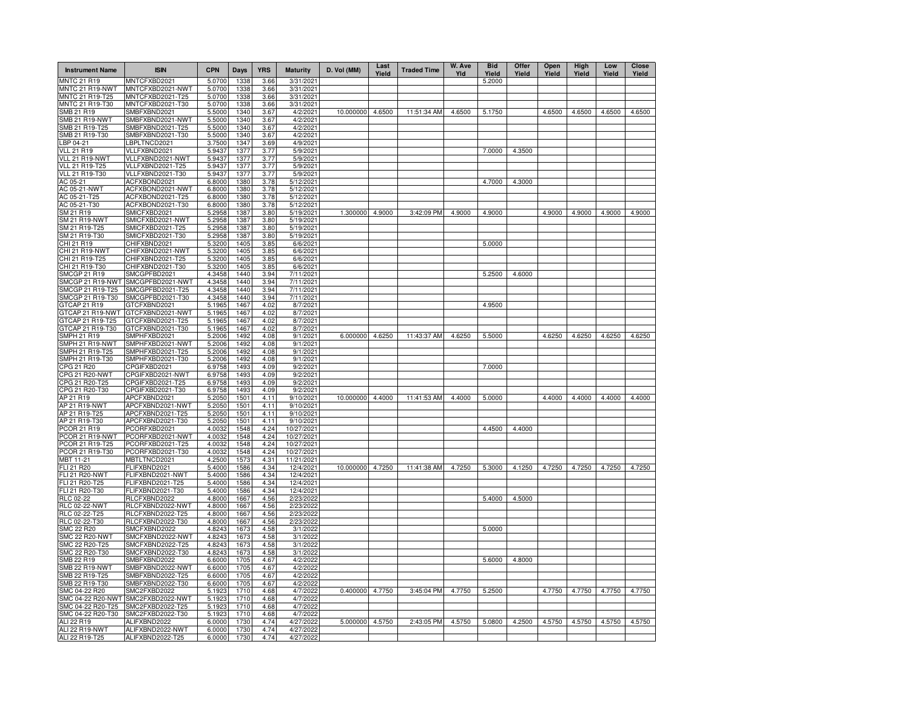| <b>Instrument Name</b>                 | <b>ISIN</b>                          | <b>CPN</b>       | Days         | <b>YRS</b>   | <b>Maturity</b>        | D. Vol (MM) | Last<br>Yield | <b>Traded Time</b> | W. Ave<br>Yld | <b>Bid</b><br>Yield | Offer<br>Yield | Open<br>Yield | High<br>Yield | Low<br>Yield | Close<br>Yield |
|----------------------------------------|--------------------------------------|------------------|--------------|--------------|------------------------|-------------|---------------|--------------------|---------------|---------------------|----------------|---------------|---------------|--------------|----------------|
| MNTC 21 R19                            | MNTCFXBD2021                         | 5.0700           | 1338         | 3.66         | 3/31/2021              |             |               |                    |               | 5.2000              |                |               |               |              |                |
| <b>MNTC 21 R19-NWT</b>                 | MNTCFXBD2021-NWT                     | 5.0700           | 1338         | 3.66         | 3/31/2021              |             |               |                    |               |                     |                |               |               |              |                |
| MNTC 21 R19-T25                        | MNTCFXBD2021-T25                     | 5.0700           | 1338         | 3.66         | 3/31/2021              |             |               |                    |               |                     |                |               |               |              |                |
| MNTC 21 R19-T30<br>SMB 21 R19          | MNTCFXBD2021-T30<br>SMBFXBND2021     | 5.0700<br>5.5000 | 1338<br>1340 | 3.66<br>3.67 | 3/31/2021<br>4/2/2021  | 10.000000   | 4.6500        | 11:51:34 AM        | 4.6500        | 5.1750              |                | 4.6500        | 4.6500        | 4.6500       | 4.6500         |
| <b>SMB 21 R19-NWT</b>                  | SMBFXBND2021-NWT                     | 5.5000           | 1340         | 3.67         | 4/2/2021               |             |               |                    |               |                     |                |               |               |              |                |
| SMB 21 R19-T25                         | SMBFXBND2021-T25                     | 5.5000           | 1340         | 3.67         | 4/2/2021               |             |               |                    |               |                     |                |               |               |              |                |
| SMB 21 R19-T30                         | SMBFXBND2021-T30                     | 5.5000           | 1340         | 3.67         | 4/2/2021               |             |               |                    |               |                     |                |               |               |              |                |
| LBP 04-21                              | LBPLTNCD2021                         | 3.7500           | 1347         | 3.69         | 4/9/2021               |             |               |                    |               |                     |                |               |               |              |                |
| <b>VLL 21 R19</b>                      | VLLFXBND2021                         | 5.9437           | 1377         | 3.77         | 5/9/2021               |             |               |                    |               | 7.0000              | 4.3500         |               |               |              |                |
| VLL 21 R19-NWT                         | VLLFXBND2021-NWT                     | 5.9437           | 1377         | 3.77         | 5/9/2021               |             |               |                    |               |                     |                |               |               |              |                |
| VLL 21 R19-T25                         | VLLFXBND2021-T25                     | 5.9437           | 1377         | 3.77         | 5/9/2021               |             |               |                    |               |                     |                |               |               |              |                |
| VLL 21 R19-T30                         | VLLFXBND2021-T30                     | 5.9437           | 1377         | 3.77         | 5/9/2021               |             |               |                    |               |                     |                |               |               |              |                |
| AC 05-21                               | ACFXBOND2021                         | 6.8000           | 1380         | 3.78         | $\overline{5/12/2021}$ |             |               |                    |               | 4.7000              | 4.3000         |               |               |              |                |
| AC 05-21-NWT                           | ACFXBOND2021-NWT<br>ACFXBOND2021-T25 | 6.8000           | 1380<br>1380 | 3.78<br>3.78 | 5/12/2021<br>5/12/2021 |             |               |                    |               |                     |                |               |               |              |                |
| AC 05-21-T25<br>AC 05-21-T30           | ACFXBOND2021-T30                     | 6.8000<br>6.8000 | 1380         | 3.78         | 5/12/2021              |             |               |                    |               |                     |                |               |               |              |                |
| SM 21 R19                              | SMICFXBD2021                         | 5.2958           | 1387         | 3.80         | 5/19/2021              | 1.300000    | 4.9000        | 3:42:09 PM         | 4.9000        | 4.9000              |                | 4.9000        | 4.9000        | 4.9000       | 4.9000         |
| <b>SM 21 R19-NWT</b>                   | SMICFXBD2021-NWT                     | 5.2958           | 1387         | 3.80         | 5/19/2021              |             |               |                    |               |                     |                |               |               |              |                |
| SM 21 R19-T25                          | SMICFXBD2021-T25                     | 5.2958           | 1387         | 3.80         | 5/19/2021              |             |               |                    |               |                     |                |               |               |              |                |
| SM 21 R19-T30                          | SMICFXBD2021-T30                     | 5.2958           | 1387         | 3.80         | 5/19/2021              |             |               |                    |               |                     |                |               |               |              |                |
| CHI 21 R19                             | CHIFXBND2021                         | 5.3200           | 1405         | 3.85         | 6/6/2021               |             |               |                    |               | 5.0000              |                |               |               |              |                |
| CHI 21 R19-NWT                         | CHIFXBND2021-NWT                     | 5.3200           | 1405         | 3.85         | 6/6/2021               |             |               |                    |               |                     |                |               |               |              |                |
| CHI 21 R19-T25                         | CHIFXBND2021-T25                     | 5.3200           | 1405         | 3.85         | 6/6/2021               |             |               |                    |               |                     |                |               |               |              |                |
| CHI 21 R19-T30                         | CHIFXBND2021-T30                     | 5.3200           | 1405         | 3.85         | 6/6/2021               |             |               |                    |               |                     |                |               |               |              |                |
| SMCGP 21 R19                           | SMCGPFBD2021                         | 4.3458           | 1440         | 3.94         | 7/11/2021              |             |               |                    |               | 5.2500              | 4.6000         |               |               |              |                |
| SMCGP 21 R19-NWT                       | SMCGPFBD2021-NWT                     | 4.3458           | 1440         | 3.94         | 7/11/2021              |             |               |                    |               |                     |                |               |               |              |                |
| SMCGP 21 R19-T25                       | SMCGPFBD2021-T25                     | 4.3458           | 1440         | 3.94         | 7/11/2021              |             |               |                    |               |                     |                |               |               |              |                |
| SMCGP 21 R19-T30<br>GTCAP 21 R19       | SMCGPFBD2021-T30                     | 4.3458           | 1440<br>1467 | 3.94<br>4.02 | 7/11/2021              |             |               |                    |               | 4.9500              |                |               |               |              |                |
| GTCAP 21 R19-NWT                       | GTCFXBND2021<br>GTCFXBND2021-NWT     | 5.1965<br>5.1965 | 1467         | 4.02         | 8/7/2021<br>8/7/2021   |             |               |                    |               |                     |                |               |               |              |                |
| GTCAP 21 R19-T25                       | GTCFXBND2021-T25                     | 5.1965           | 1467         | 4.02         | 8/7/2021               |             |               |                    |               |                     |                |               |               |              |                |
| GTCAP 21 R19-T30                       | GTCFXBND2021-T30                     | 5.1965           | 1467         | 4.02         | 8/7/2021               |             |               |                    |               |                     |                |               |               |              |                |
| <b>SMPH 21 R19</b>                     | SMPHFXBD2021                         | 5.2006           | 1492         | 4.08         | 9/1/2021               | 6.000000    | 4.6250        | 11:43:37 AM        | 4.6250        | 5.5000              |                | 4.6250        | 4.6250        | 4.6250       | 4.6250         |
| SMPH 21 R19-NWT                        | SMPHFXBD2021-NWT                     | 5.2006           | 1492         | 4.08         | 9/1/2021               |             |               |                    |               |                     |                |               |               |              |                |
| SMPH 21 R19-T25                        | SMPHFXBD2021-T25                     | 5.2006           | 1492         | 4.08         | 9/1/2021               |             |               |                    |               |                     |                |               |               |              |                |
| SMPH 21 R19-T30                        | SMPHFXBD2021-T30                     | 5.2006           | 1492         | 4.08         | 9/1/2021               |             |               |                    |               |                     |                |               |               |              |                |
| CPG 21 R20                             | CPGIFXBD2021                         | 6.9758           | 1493         | 4.09         | 9/2/2021               |             |               |                    |               | 7.0000              |                |               |               |              |                |
| CPG 21 R20-NWT                         | CPGIFXBD2021-NWT                     | 6.9758           | 1493         | 4.09         | 9/2/2021               |             |               |                    |               |                     |                |               |               |              |                |
| CPG 21 R20-T25                         | CPGIFXBD2021-T25                     | 6.9758           | 1493         | 4.09         | 9/2/2021               |             |               |                    |               |                     |                |               |               |              |                |
| CPG 21 R20-T30                         | CPGIFXBD2021-T30                     | 6.9758           | 1493         | 4.09         | 9/2/2021               |             |               |                    |               |                     |                |               |               |              |                |
| AP 21 R19<br>AP 21 R19-NWT             | APCFXBND2021<br>APCFXBND2021-NWT     | 5.2050           | 1501<br>1501 | 4.11<br>4.11 | 9/10/2021<br>9/10/2021 | 10.000000   | 4.4000        | 11:41:53 AM        | 4.4000        | 5.0000              |                | 4.4000        | 4.4000        | 4.4000       | 4.4000         |
| AP 21 R19-T25                          | APCFXBND2021-T25                     | 5.2050<br>5.2050 | 1501         | 4.11         | 9/10/2021              |             |               |                    |               |                     |                |               |               |              |                |
| AP 21 R19-T30                          | APCFXBND2021-T30                     | 5.2050           | 1501         | 4.11         | 9/10/2021              |             |               |                    |               |                     |                |               |               |              |                |
| PCOR 21 R19                            | PCORFXBD2021                         | 4.0032           | 1548         | 4.24         | 10/27/2021             |             |               |                    |               | 4.4500              | 4.4000         |               |               |              |                |
| PCOR 21 R19-NWT                        | PCORFXBD2021-NWT                     | 4.0032           | 1548         | 4.24         | 10/27/2021             |             |               |                    |               |                     |                |               |               |              |                |
| PCOR 21 R19-T25                        | PCORFXBD2021-T25                     | 4.0032           | 1548         | 4.24         | 10/27/2021             |             |               |                    |               |                     |                |               |               |              |                |
| PCOR 21 R19-T30                        | PCORFXBD2021-T30                     | 4.0032           | 1548         | 4.24         | 10/27/2021             |             |               |                    |               |                     |                |               |               |              |                |
| MBT 11-21                              | MBTLTNCD2021                         | 4.2500           | 1573         | 4.31         | 11/21/2021             |             |               |                    |               |                     |                |               |               |              |                |
| FLI 21 R20                             | FLIFXBND2021                         | 5.4000           | 1586         | 4.34         | 12/4/2021              | 10.000000   | 4.7250        | 11:41:38 AM        | 4.7250        | 5.3000              | 4.1250         | 4.7250        | 4.7250        | 4.7250       | 4.7250         |
| FLI 21 R20-NWT                         | FLIFXBND2021-NWT                     | 5.4000           | 1586         | 4.34         | 12/4/2021              |             |               |                    |               |                     |                |               |               |              |                |
| FLI 21 R20-T25                         | FLIFXBND2021-T25                     | 5.4000           | 1586         | 4.34         | 12/4/2021              |             |               |                    |               |                     |                |               |               |              |                |
| FLI 21 R20-T30<br>RLC 02-22            | FLIFXBND2021-T30<br>RLCFXBND2022     | 5.4000<br>4.8000 | 1586<br>1667 | 4.34<br>4.56 | 12/4/2021<br>2/23/2022 |             |               |                    |               | 5.4000              | 4.5000         |               |               |              |                |
| RLC 02-22-NWT                          | RLCFXBND2022-NWT                     | 4.8000           | 1667         | 4.56         | 2/23/202               |             |               |                    |               |                     |                |               |               |              |                |
| RLC 02-22-T25                          | RLCFXBND2022-T25                     | 4.8000           | 1667         | 4.56         | 2/23/2022              |             |               |                    |               |                     |                |               |               |              |                |
| RLC 02-22-T30                          | RLCFXBND2022-T30                     | 4.8000           | 1667         | 4.56         | 2/23/2022              |             |               |                    |               |                     |                |               |               |              |                |
| <b>SMC 22 R20</b>                      | SMCFXBND2022                         | 4.8243           | 1673         | 4.58         | 3/1/2022               |             |               |                    |               | 5.0000              |                |               |               |              |                |
| <b>SMC 22 R20-NWT</b>                  | SMCFXBND2022-NWT                     | 4.8243           | 1673         | 4.58         | 3/1/2022               |             |               |                    |               |                     |                |               |               |              |                |
| SMC 22 R20-T25                         | SMCFXBND2022-T25                     | 4.8243           | 1673         | 4.58         | 3/1/2022               |             |               |                    |               |                     |                |               |               |              |                |
| SMC 22 R20-T30                         | SMCFXBND2022-T30                     | 4.8243           | 1673         | 4.58         | 3/1/2022               |             |               |                    |               |                     |                |               |               |              |                |
| SMB 22 R19                             | SMBFXBND2022                         | 6.6000           | 1705         | 4.67         | 4/2/2022               |             |               |                    |               | 5.6000              | 4.8000         |               |               |              |                |
| <b>SMB 22 R19-NWT</b>                  | SMBFXBND2022-NWT                     | 6.6000           | 1705         | 4.67         | 4/2/2022               |             |               |                    |               |                     |                |               |               |              |                |
| SMB 22 R19-T25                         | SMBFXBND2022-T25                     | 6.6000           | 1705         | 4.67         | 4/2/202                |             |               |                    |               |                     |                |               |               |              |                |
| SMB 22 R19-T30                         | SMBFXBND2022-T30                     | 6.6000           | 1705         | 4.67         | 4/2/2022               |             |               |                    |               |                     |                |               |               |              |                |
| SMC 04-22 R20                          | SMC2FXBD2022                         | 5.1923           | 1710         | 4.68         | 4/7/202                | 0.400000    | 4.7750        | 3:45:04 PM         | 4.7750        | 5.2500              |                | 4.7750        | 4.7750        | 4.7750       | 4.7750         |
| SMC 04-22 R20-NWT<br>SMC 04-22 R20-T25 | SMC2FXBD2022-NWT<br>SMC2FXBD2022-T25 | 5.1923           | 1710<br>1710 | 4.68<br>4.68 | 4/7/2022<br>4/7/2022   |             |               |                    |               |                     |                |               |               |              |                |
| SMC 04-22 R20-T30                      | SMC2FXBD2022-T30                     | 5.1923<br>5.1923 | 1710         | 4.68         | 4/7/2022               |             |               |                    |               |                     |                |               |               |              |                |
| ALI 22 R19                             | ALIFXBND2022                         | 6.0000           | 1730         | 4.74         | 4/27/2022              | 5.000000    | 4.5750        | 2:43:05 PM         | 4.5750        | 5.0800              | 4.2500         | 4.5750        | 4.5750        | 4.5750       | 4.5750         |
| ALI 22 R19-NWT                         | ALIFXBND2022-NWT                     | 6.0000           | 1730         | 4.74         | 4/27/2022              |             |               |                    |               |                     |                |               |               |              |                |
| ALI 22 R19-T25                         | ALIFXBND2022-T25                     | 6.0000           | 1730         | 4.74         | 4/27/2022              |             |               |                    |               |                     |                |               |               |              |                |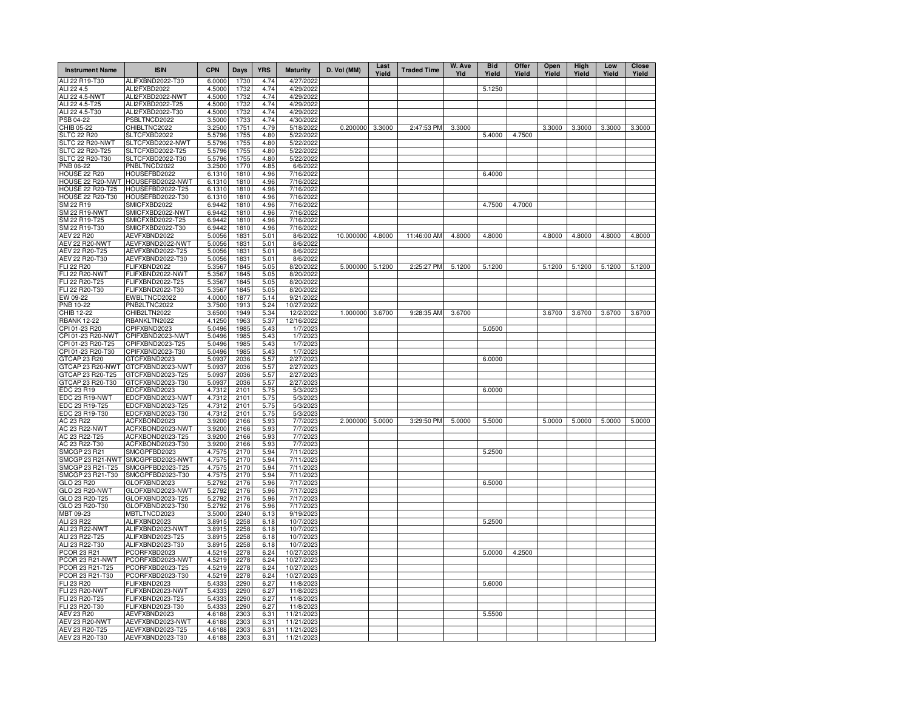| <b>Instrument Name</b>             | <b>ISIN</b>                          | <b>CPN</b>       | Days         | <b>YRS</b>   | <b>Maturity</b>         | D. Vol (MM)     | Last<br>Yield | <b>Traded Time</b> | W. Ave<br>Yld | <b>Bid</b><br>Yield | Offer<br>Yield | Open<br>Yield | High<br>Yield | Low<br>Yield | Close<br>Yield |
|------------------------------------|--------------------------------------|------------------|--------------|--------------|-------------------------|-----------------|---------------|--------------------|---------------|---------------------|----------------|---------------|---------------|--------------|----------------|
| ALI 22 R19-T30                     | ALIFXBND2022-T30                     | 6.0000           | 1730         | 4.74         | 4/27/2022               |                 |               |                    |               |                     |                |               |               |              |                |
| ALI 22 4.5                         | ALI2FXBD2022                         | 4.5000           | 1732         | 4.74         | 4/29/2022               |                 |               |                    |               | 5.1250              |                |               |               |              |                |
| ALI 22 4.5-NWT<br>ALI 22 4.5-T25   | ALI2FXBD2022-NWT<br>ALI2FXBD2022-T25 | 4.5000<br>4.5000 | 1732<br>1732 | 4.74<br>4.74 | 4/29/2022<br>4/29/2022  |                 |               |                    |               |                     |                |               |               |              |                |
| ALI 22 4.5-T30                     | ALI2FXBD2022-T30                     | 4.5000           | 1732         | 4.74         | 4/29/2022               |                 |               |                    |               |                     |                |               |               |              |                |
| PSB 04-22                          | PSBLTNCD2022                         | 3.5000           | 1733         | 4.74         | 4/30/2022               |                 |               |                    |               |                     |                |               |               |              |                |
| CHIB 05-22                         | CHIBLTNC2022                         | 3.2500           | 1751         | 4.79         | 5/18/2022               | 0.200000 3.3000 |               | 2:47:53 PM         | 3.3000        |                     |                | 3.3000        | 3.3000        | 3.3000       | 3.3000         |
| <b>SLTC 22 R20</b>                 | SLTCFXBD2022                         | 5.5796           | 1755         | 4.80         | 5/22/2022               |                 |               |                    |               | 5.4000              | 4.7500         |               |               |              |                |
| SLTC 22 R20-NWT                    | SLTCFXBD2022-NWT                     | 5.5796           | 1755         | 4.80         | 5/22/2022               |                 |               |                    |               |                     |                |               |               |              |                |
| SLTC 22 R20-T25                    | SLTCFXBD2022-T25                     | 5.5796           | 1755         | 4.80         | 5/22/2022               |                 |               |                    |               |                     |                |               |               |              |                |
| SLTC 22 R20-T30                    | SLTCFXBD2022-T30                     | 5.5796           | 1755         | 4.80         | 5/22/2022               |                 |               |                    |               |                     |                |               |               |              |                |
| PNB 06-22<br><b>HOUSE 22 R20</b>   | PNBLTNCD2022<br>HOUSEFBD2022         | 3.2500<br>6.1310 | 1770<br>1810 | 4.85<br>4.96 | 6/6/2022<br>7/16/2022   |                 |               |                    |               | 6.4000              |                |               |               |              |                |
| HOUSE 22 R20-NWT                   | HOUSEFBD2022-NWT                     | 6.1310           | 1810         | 4.96         | 7/16/2022               |                 |               |                    |               |                     |                |               |               |              |                |
| <b>HOUSE 22 R20-T25</b>            | HOUSEFBD2022-T25                     | 6.1310           | 1810         | 4.96         | 7/16/2022               |                 |               |                    |               |                     |                |               |               |              |                |
| HOUSE 22 R20-T30                   | HOUSEFBD2022-T30                     | 6.1310           | 1810         | 4.96         | 7/16/2022               |                 |               |                    |               |                     |                |               |               |              |                |
| SM 22 R19                          | SMICFXBD2022                         | 6.9442           | 1810         | 4.96         | 7/16/202                |                 |               |                    |               | 4.7500              | 4.7000         |               |               |              |                |
| SM 22 R19-NWT                      | SMICFXBD2022-NWT                     | 6.9442           | 1810         | 4.96         | 7/16/2022               |                 |               |                    |               |                     |                |               |               |              |                |
| SM 22 R19-T25                      | SMICFXBD2022-T25                     | 6.9442           | 1810         | 4.96         | 7/16/202                |                 |               |                    |               |                     |                |               |               |              |                |
| SM 22 R19-T30                      | SMICFXBD2022-T30                     | 6.9442           | 1810         | 4.96         | 7/16/2022               |                 |               |                    |               |                     |                |               |               |              |                |
| <b>AEV 22 R20</b>                  | AEVFXBND2022                         | 5.0056           | 1831         | 5.01         | 8/6/202                 | 10.000000       | 4.8000        | 11:46:00 AM        | 4.8000        | 4.8000              |                | 4.8000        | 4.8000        | 4.8000       | 4.8000         |
| AEV 22 R20-NWT<br>AEV 22 R20-T25   | AEVFXBND2022-NWT<br>AEVFXBND2022-T25 | 5.0056<br>5.0056 | 1831<br>1831 | 5.01<br>5.01 | 8/6/2022<br>8/6/2022    |                 |               |                    |               |                     |                |               |               |              |                |
| AEV 22 R20-T30                     | AEVFXBND2022-T30                     | 5.0056           | 1831         | 5.01         | 8/6/2022                |                 |               |                    |               |                     |                |               |               |              |                |
| <b>FLI 22 R20</b>                  | FLIFXBND2022                         | 5.3567           | 1845         | 5.05         | 8/20/202                | 5.000000        | 5.1200        | 2:25:27 PM         | 5.1200        | 5.1200              |                | 5.1200        | 5.1200        | 5.1200       | 5.1200         |
| FLI 22 R20-NWT                     | FLIFXBND2022-NWT                     | 5.3567           | 1845         | 5.05         | 8/20/202                |                 |               |                    |               |                     |                |               |               |              |                |
| FLI 22 R20-T25                     | FLIFXBND2022-T25                     | 5.3567           | 1845         | 5.05         | 8/20/2022               |                 |               |                    |               |                     |                |               |               |              |                |
| FLI 22 R20-T30                     | FLIFXBND2022-T30                     | 5.3567           | 1845         | 5.05         | 8/20/202                |                 |               |                    |               |                     |                |               |               |              |                |
| EW 09-22                           | EWBLTNCD2022                         | 4.0000           | 1877         | 5.14         | 9/21/2022               |                 |               |                    |               |                     |                |               |               |              |                |
| <b>PNB 10-22</b>                   | PNB2LTNC2022                         | 3.7500           | 1913         | 5.24         | 10/27/202               |                 |               |                    |               |                     |                |               |               |              |                |
| CHIB 12-22                         | CHIB2LTN2022                         | 3.6500           | 1949         | 5.34         | 12/2/202                | 1.000000        | 3.6700        | 9:28:35 AM         | 3.6700        |                     |                | 3.6700        | 3.6700        | 3.6700       | 3.6700         |
| <b>RBANK 12-22</b>                 | RBANKLTN2022                         | 4.1250           | 1963         | 5.37         | 12/16/2022              |                 |               |                    |               |                     |                |               |               |              |                |
| CPI 01-23 R20<br>CPI 01-23 R20-NWT | CPIFXBND2023<br>CPIFXBND2023-NWT     | 5.0496<br>5.0496 | 1985<br>1985 | 5.43<br>5.43 | 1/7/2023<br>1/7/2023    |                 |               |                    |               | 5.0500              |                |               |               |              |                |
| CPI 01-23 R20-T25                  | CPIFXBND2023-T25                     | 5.0496           | 1985         | 5.43         | 1/7/2023                |                 |               |                    |               |                     |                |               |               |              |                |
| CPI 01-23 R20-T30                  | CPIFXBND2023-T30                     | 5.0496           | 1985         | 5.43         | 1/7/2023                |                 |               |                    |               |                     |                |               |               |              |                |
| GTCAP 23 R20                       | GTCFXBND2023                         | 5.0937           | 2036         | 5.57         | 2/27/2023               |                 |               |                    |               | 6.0000              |                |               |               |              |                |
| GTCAP 23 R20-NWT                   | GTCFXBND2023-NWT                     | 5.0937           | 2036         | 5.57         | 2/27/2023               |                 |               |                    |               |                     |                |               |               |              |                |
| GTCAP 23 R20-T25                   | GTCFXBND2023-T25                     | 5.0937           | 2036         | 5.57         | 2/27/2023               |                 |               |                    |               |                     |                |               |               |              |                |
| GTCAP 23 R20-T30                   | GTCFXBND2023-T30                     | 5.0937           | 2036         | 5.57         | 2/27/2023               |                 |               |                    |               |                     |                |               |               |              |                |
| EDC 23 R19                         | EDCFXBND2023                         | 4.7312           | 2101         | 5.75         | 5/3/2023                |                 |               |                    |               | 6.0000              |                |               |               |              |                |
| EDC 23 R19-NWT                     | EDCFXBND2023-NWT                     | 4.7312           | 2101         | 5.75         | 5/3/202                 |                 |               |                    |               |                     |                |               |               |              |                |
| EDC 23 R19-T25<br>EDC 23 R19-T30   | EDCFXBND2023-T25<br>EDCFXBND2023-T30 | 4.7312<br>4.7312 | 2101<br>2101 | 5.75<br>5.75 | 5/3/2023                |                 |               |                    |               |                     |                |               |               |              |                |
| AC 23 R22                          | ACFXBOND2023                         | 3.9200           | 2166         | 5.93         | 5/3/2023<br>7/7/2023    | 2.000000        | 5.0000        | 3:29:50 PM         | 5.0000        | 5.5000              |                | 5.0000        | 5.0000        | 5.0000       | 5.0000         |
| <b>AC 23 R22-NWT</b>               | ACFXBOND2023-NWT                     | 3.9200           | 2166         | 5.93         | 7/7/2023                |                 |               |                    |               |                     |                |               |               |              |                |
| AC 23 R22-T25                      | ACFXBOND2023-T25                     | 3.9200           | 2166         | 5.93         | 7/7/2023                |                 |               |                    |               |                     |                |               |               |              |                |
| AC 23 R22-T30                      | ACFXBOND2023-T30                     | 3.9200           | 2166         | 5.93         | 7/7/2023                |                 |               |                    |               |                     |                |               |               |              |                |
| SMCGP 23 R21                       | SMCGPFBD2023                         | 4.7575           | 2170         | 5.94         | 7/11/2023               |                 |               |                    |               | 5.2500              |                |               |               |              |                |
| SMCGP 23 R21-NWT                   | SMCGPFBD2023-NWT                     | 4.7575           | 2170         | 5.94         | 7/11/2023               |                 |               |                    |               |                     |                |               |               |              |                |
| SMCGP 23 R21-T25                   | SMCGPFBD2023-T25                     | 4.7575           | 2170         | 5.94         | 7/11/2023               |                 |               |                    |               |                     |                |               |               |              |                |
| SMCGP 23 R21-T30                   | SMCGPFBD2023-T30                     | 4.7575           | 2170         | 5.94         | 7/11/2023               |                 |               |                    |               |                     |                |               |               |              |                |
| GLO 23 R20<br>GLO 23 R20-NWT       | GLOFXBND2023<br>GLOFXBND2023-NWT     | 5.2792<br>5.2792 | 2176<br>2176 | 5.96         | 7/17/2023<br>7/17/2023  |                 |               |                    |               | 6.5000              |                |               |               |              |                |
| GLO 23 R20-T25                     | GLOFXBND2023-T25                     | 5.2792           | 2176         | 5.96<br>5.96 | 7/17/2023               |                 |               |                    |               |                     |                |               |               |              |                |
| GLO 23 R20-T30                     | GLOFXBND2023-T30                     | 5.2792           | 2176         | 5.96         | 7/17/2023               |                 |               |                    |               |                     |                |               |               |              |                |
| MBT 09-23                          | MBTLTNCD2023                         | 3.5000           | 2240         | 6.13         | 9/19/2023               |                 |               |                    |               |                     |                |               |               |              |                |
| ALI 23 R22                         | ALIFXBND2023                         | 3.8915           | 2258         | 6.18         | 10/7/2023               |                 |               |                    |               | 5.2500              |                |               |               |              |                |
| ALI 23 R22-NWT                     | ALIFXBND2023-NWT                     | 3.8915           | 2258         | 6.18         | 10/7/2023               |                 |               |                    |               |                     |                |               |               |              |                |
| ALI 23 R22-T25                     | ALIFXBND2023-T25                     | 3.8915           | 2258         | 6.18         | 10/7/2023               |                 |               |                    |               |                     |                |               |               |              |                |
| ALI 23 R22-T30                     | ALIFXBND2023-T30                     | 3.8915           | 2258         | 6.18         | 10/7/2023               |                 |               |                    |               |                     |                |               |               |              |                |
| PCOR 23 R21                        | PCORFXBD2023                         | 4.5219           | 2278         | 6.24         | 10/27/2023              |                 |               |                    |               | 5.0000              | 4.2500         |               |               |              |                |
| PCOR 23 R21-NWT                    | PCORFXBD2023-NWT                     | 4.5219           | 2278         | 6.24         | 10/27/2023              |                 |               |                    |               |                     |                |               |               |              |                |
| PCOR 23 R21-T25                    | PCORFXBD2023-T25                     | 4.5219           | 2278         | 6.24         | 10/27/2023              |                 |               |                    |               |                     |                |               |               |              |                |
| PCOR 23 R21-T30<br>FLI 23 R20      | PCORFXBD2023-T30<br>FLIFXBND2023     | 4.5219<br>5.4333 | 2278<br>2290 | 6.24<br>6.27 | 10/27/2023<br>11/8/2023 |                 |               |                    |               | 5.6000              |                |               |               |              |                |
| <b>FLI 23 R20-NWT</b>              | FLIFXBND2023-NWT                     | 5.4333           | 2290         | 6.27         | 11/8/2023               |                 |               |                    |               |                     |                |               |               |              |                |
| FLI 23 R20-T25                     | FLIFXBND2023-T25                     | 5.4333           | 2290         | 6.27         | 11/8/2023               |                 |               |                    |               |                     |                |               |               |              |                |
| FLI 23 R20-T30                     | FLIFXBND2023-T30                     | 5.4333           | 2290         | 6.27         | 11/8/2023               |                 |               |                    |               |                     |                |               |               |              |                |
| AEV 23 R20                         | AEVFXBND2023                         | 4.6188           | 2303         | 6.31         | 11/21/2023              |                 |               |                    |               | 5.5500              |                |               |               |              |                |
| <b>AEV 23 R20-NWT</b>              | AEVFXBND2023-NWT                     | 4.6188           | 2303         | 6.31         | 11/21/202               |                 |               |                    |               |                     |                |               |               |              |                |
| AEV 23 R20-T25                     | AEVFXBND2023-T25                     | 4.6188           | 2303         | 6.31         | 11/21/2023              |                 |               |                    |               |                     |                |               |               |              |                |
| AEV 23 R20-T30                     | AEVFXBND2023-T30                     | 4.6188           | 2303         | 6.31         | 11/21/202               |                 |               |                    |               |                     |                |               |               |              |                |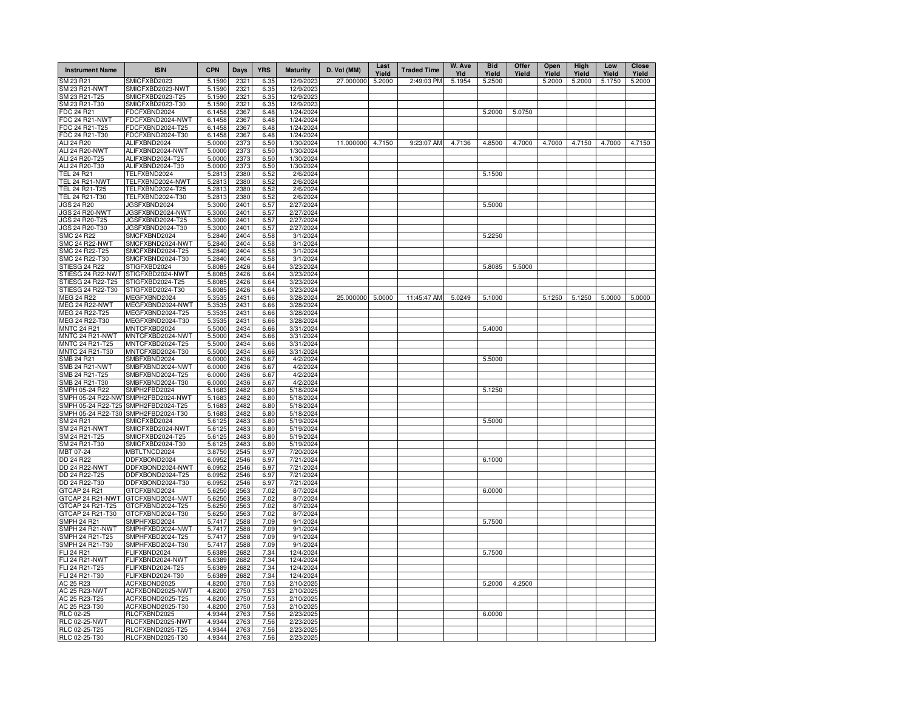| <b>Instrument Name</b>                | <b>ISIN</b>                          | <b>CPN</b>       | Days         | <b>YRS</b>   | <b>Maturity</b>        | D. Vol (MM) | Last<br>Yield | <b>Traded Time</b> | W. Ave<br>YId | <b>Bid</b><br>Yield | Offer<br>Yield | Open<br>Yield | High<br>Yield | Low<br>Yield | <b>Close</b><br>Yield |
|---------------------------------------|--------------------------------------|------------------|--------------|--------------|------------------------|-------------|---------------|--------------------|---------------|---------------------|----------------|---------------|---------------|--------------|-----------------------|
| SM 23 R21                             | SMICFXBD2023                         | 5.1590           | 2321         | 6.35         | 12/9/2023              | 27.000000   | 5.2000        | 2:49:03 PM         | 5.1954        | 5.2500              |                | 5.2000        | 5.2000        | 5.1750       | 5.2000                |
| SM 23 R21-NWT                         | SMICFXBD2023-NWT                     | 5.1590           | 2321         | 6.35         | 12/9/202               |             |               |                    |               |                     |                |               |               |              |                       |
| SM 23 R21-T25                         | SMICFXBD2023-T25                     | 5.1590           | 2321         | 6.35         | 12/9/2023              |             |               |                    |               |                     |                |               |               |              |                       |
| SM 23 R21-T30                         | SMICFXBD2023-T30                     | 5.1590           | 2321         | 6.35         | 12/9/2023              |             |               |                    |               |                     |                |               |               |              |                       |
| FDC 24 R21                            | FDCFXBND2024                         | 6.1458           | 2367         | 6.48         | 1/24/2024              |             |               |                    |               | 5.2000              | 5.0750         |               |               |              |                       |
| FDC 24 R21-NWT                        | FDCFXBND2024-NWT                     | 6.1458           | 2367         | 6.48         | 1/24/2024              |             |               |                    |               |                     |                |               |               |              |                       |
| FDC 24 R21-T25                        | FDCFXBND2024-T25                     | 6.1458           | 2367         | 6.48         | 1/24/2024              |             |               |                    |               |                     |                |               |               |              |                       |
| FDC 24 R21-T30                        | FDCFXBND2024-T30                     | 6.1458           | 2367         | 6.48         | 1/24/2024              |             |               |                    |               |                     |                |               |               |              |                       |
| ALI 24 R20<br>ALI 24 R20-NWT          | ALIFXBND2024                         | 5.0000           | 2373         | 6.50         | 1/30/2024<br>1/30/2024 | 11.000000   | 4.7150        | 9:23:07 AM         | 4.7136        | 4.8500              | 4.7000         | 4.7000        | 4.7150        | 4.7000       | 4.7150                |
| ALI 24 R20-T25                        | ALIFXBND2024-NWT<br>ALIFXBND2024-T25 | 5.0000<br>5.0000 | 2373<br>2373 | 6.50<br>6.50 | 1/30/2024              |             |               |                    |               |                     |                |               |               |              |                       |
| ALI 24 R20-T30                        | ALIFXBND2024-T30                     | 5.0000           | 2373         | 6.50         | 1/30/2024              |             |               |                    |               |                     |                |               |               |              |                       |
| <b>TEL 24 R21</b>                     | TELFXBND2024                         | 5.2813           | 2380         | 6.52         | 2/6/2024               |             |               |                    |               | 5.1500              |                |               |               |              |                       |
| TEL 24 R21-NWT                        | TELFXBND2024-NWT                     | 5.2813           | 2380         | 6.52         | 2/6/2024               |             |               |                    |               |                     |                |               |               |              |                       |
| TEL 24 R21-T25                        | TELFXBND2024-T25                     | 5.2813           | 2380         | 6.52         | 2/6/2024               |             |               |                    |               |                     |                |               |               |              |                       |
| TEL 24 R21-T30                        | TELFXBND2024-T30                     | 5.2813           | 2380         | 6.52         | 2/6/2024               |             |               |                    |               |                     |                |               |               |              |                       |
| JGS 24 R20                            | JGSFXBND2024                         | 5.3000           | 2401         | 6.57         | 2/27/2024              |             |               |                    |               | 5.5000              |                |               |               |              |                       |
| JGS 24 R20-NWT                        | JGSFXBND2024-NWT                     | 5.3000           | 2401         | 6.57         | 2/27/2024              |             |               |                    |               |                     |                |               |               |              |                       |
| JGS 24 R20-T25                        | JGSFXBND2024-T25                     | 5.3000           | 2401         | 6.57         | 2/27/2024              |             |               |                    |               |                     |                |               |               |              |                       |
| JGS 24 R20-T30                        | JGSFXBND2024-T30                     | 5.3000           | 2401         | 6.57         | 2/27/2024              |             |               |                    |               |                     |                |               |               |              |                       |
| <b>SMC 24 R22</b>                     | SMCFXBND2024                         | 5.2840           | 2404         | 6.58         | 3/1/2024               |             |               |                    |               | 5.2250              |                |               |               |              |                       |
| <b>SMC 24 R22-NWT</b>                 | SMCFXBND2024-NWT                     | 5.2840           | 2404         | 6.58         | 3/1/2024               |             |               |                    |               |                     |                |               |               |              |                       |
| SMC 24 R22-T25                        | SMCFXBND2024-T25                     | 5.2840           | 2404         | 6.58         | 3/1/2024               |             |               |                    |               |                     |                |               |               |              |                       |
| SMC 24 R22-T30                        | SMCFXBND2024-T30                     | 5.2840           | 2404         | 6.58         | 3/1/2024               |             |               |                    |               |                     |                |               |               |              |                       |
| STIESG 24 R22                         | STIGFXBD2024                         | 5.8085           | 2426         | 6.64         | 3/23/2024              |             |               |                    |               | 5.8085              | 5.5000         |               |               |              |                       |
| STIESG 24 R22-NWT                     | STIGFXBD2024-NWT                     | 5.8085           | 2426         | 6.64         | 3/23/2024              |             |               |                    |               |                     |                |               |               |              |                       |
| STIESG 24 R22-T25                     | STIGFXBD2024-T25                     | 5.8085           | 2426         | 6.64         | 3/23/2024              |             |               |                    |               |                     |                |               |               |              |                       |
| STIESG 24 R22-T30                     | STIGFXBD2024-T30                     | 5.8085           | 2426         | 6.64         | 3/23/2024              |             |               |                    |               |                     |                |               |               |              |                       |
| <b>MEG 24 R22</b>                     | MEGFXBND2024                         | 5.3535           | 2431         | 6.66         | 3/28/2024              | 25.000000   | 5.0000        | 11:45:47 AM        | 5.0249        | 5.1000              |                | 5.1250        | 5.1250        | 5.0000       | 5.0000                |
| MEG 24 R22-NWT                        | MEGFXBND2024-NWT                     | 5.3535           | 2431         | 6.66         | 3/28/2024              |             |               |                    |               |                     |                |               |               |              |                       |
| MEG 24 R22-T25                        | MEGFXBND2024-T25                     | 5.3535           | 2431         | 6.66         | 3/28/2024              |             |               |                    |               |                     |                |               |               |              |                       |
| MEG 24 R22-T30                        | MEGFXBND2024-T30                     | 5.3535           | 2431         | 6.66         | 3/28/2024              |             |               |                    |               |                     |                |               |               |              |                       |
| <b>MNTC 24 R21</b><br>MNTC 24 R21-NWT | MNTCFXBD2024<br>MNTCFXBD2024-NWT     | 5.5000<br>5.5000 | 2434<br>2434 | 6.66<br>6.66 | 3/31/2024<br>3/31/2024 |             |               |                    |               | 5.4000              |                |               |               |              |                       |
| MNTC 24 R21-T25                       | MNTCFXBD2024-T25                     | 5.5000           | 2434         | 6.66         | 3/31/2024              |             |               |                    |               |                     |                |               |               |              |                       |
| MNTC 24 R21-T30                       | MNTCFXBD2024-T30                     | 5.5000           | 2434         | 6.66         | 3/31/2024              |             |               |                    |               |                     |                |               |               |              |                       |
| <b>SMB 24 R21</b>                     | SMBFXBND2024                         | 6.0000           | 2436         | 6.67         | 4/2/2024               |             |               |                    |               | 5.5000              |                |               |               |              |                       |
| <b>SMB 24 R21-NWT</b>                 | SMBFXBND2024-NWT                     | 6.0000           | 2436         | 6.67         | 4/2/2024               |             |               |                    |               |                     |                |               |               |              |                       |
| SMB 24 R21-T25                        | SMBFXBND2024-T25                     | 6.0000           | 2436         | 6.67         | 4/2/2024               |             |               |                    |               |                     |                |               |               |              |                       |
| SMB 24 R21-T30                        | SMBFXBND2024-T30                     | 6.0000           | 2436         | 6.67         | 4/2/2024               |             |               |                    |               |                     |                |               |               |              |                       |
| SMPH 05-24 R22                        | SMPH2FBD2024                         | 5.1683           | 2482         | 6.80         | 5/18/2024              |             |               |                    |               | 5.1250              |                |               |               |              |                       |
| SMPH 05-24 R22-NW                     | SMPH2FBD2024-NWT                     | 5.1683           | 2482         | 6.80         | 5/18/2024              |             |               |                    |               |                     |                |               |               |              |                       |
| SMPH 05-24 R22-T25                    | SMPH2FBD2024-T25                     | 5.1683           | 2482         | 6.80         | 5/18/2024              |             |               |                    |               |                     |                |               |               |              |                       |
| SMPH 05-24 R22-T30                    | SMPH2FBD2024-T30                     | 5.1683           | 2482         | 6.80         | 5/18/2024              |             |               |                    |               |                     |                |               |               |              |                       |
| SM 24 R21                             | SMICFXBD2024                         | 5.6125           | 2483         | 6.80         | 5/19/2024              |             |               |                    |               | 5.5000              |                |               |               |              |                       |
| SM 24 R21-NWT                         | SMICFXBD2024-NWT                     | 5.6125           | 2483         | 6.80         | 5/19/2024              |             |               |                    |               |                     |                |               |               |              |                       |
| SM 24 R21-T25                         | SMICFXBD2024-T25                     | 5.6125           | 2483         | 6.80         | 5/19/2024              |             |               |                    |               |                     |                |               |               |              |                       |
| SM 24 R21-T30                         | SMICFXBD2024-T30                     | 5.6125           | 2483         | 6.80         | 5/19/2024              |             |               |                    |               |                     |                |               |               |              |                       |
| MBT 07-24                             | MBTLTNCD2024                         | 3.8750           | 2545         | 6.97         | 7/20/2024              |             |               |                    |               |                     |                |               |               |              |                       |
| DD 24 R22                             | DDFXBOND2024                         | 6.0952           | 2546         | 6.97         | 7/21/2024              |             |               |                    |               | 6.1000              |                |               |               |              |                       |
| DD 24 R22-NWT                         | DDFXBOND2024-NWT                     | 6.0952           | 2546         | 6.97         | 7/21/2024              |             |               |                    |               |                     |                |               |               |              |                       |
| DD 24 R22-T25                         | DDFXBOND2024-T25                     | 6.0952           | 2546         | 6.97         | 7/21/2024              |             |               |                    |               |                     |                |               |               |              |                       |
| DD 24 R22-T30<br>GTCAP 24 R21         | DDFXBOND2024-T30<br>GTCFXBND2024     | 6.0952<br>5.6250 | 2546         | 6.97         | 7/21/2024<br>8/7/2024  |             |               |                    |               |                     |                |               |               |              |                       |
| GTCAP 24 R21-NWT                      | GTCFXBND2024-NWT                     | 5.6250           | 2563<br>2563 | 7.02<br>7.02 | 8/7/2024               |             |               |                    |               | 6.0000              |                |               |               |              |                       |
| GTCAP 24 R21-T25                      | GTCFXBND2024-T25                     | 5.6250           | 2563         | 7.02         | 8/7/2024               |             |               |                    |               |                     |                |               |               |              |                       |
| GTCAP 24 R21-T30                      | GTCFXBND2024-T30                     | 5.6250           | 2563         | 7.02         | 8/7/2024               |             |               |                    |               |                     |                |               |               |              |                       |
| SMPH 24 R21                           | SMPHFXBD2024                         | 5.7417           | 2588         | 7.09         | 9/1/2024               |             |               |                    |               | 5.7500              |                |               |               |              |                       |
| SMPH 24 $R21-NWT$                     | SMPHFXBD2024-NWT                     | 5.7417           | 2588         | 7.09         | 9/1/2024               |             |               |                    |               |                     |                |               |               |              |                       |
| SMPH 24 R21-T25                       | SMPHFXBD2024-T25                     | 5.7417           | 2588         | 7.09         | 9/1/2024               |             |               |                    |               |                     |                |               |               |              |                       |
| SMPH 24 R21-T30                       | SMPHFXBD2024-T30                     | 5.7417           | 2588         | 7.09         | 9/1/2024               |             |               |                    |               |                     |                |               |               |              |                       |
| FLI 24 R21                            | FLIFXBND2024                         | 5.6389           | 2682         | 7.34         | 12/4/2024              |             |               |                    |               | 5.7500              |                |               |               |              |                       |
| FLI 24 R21-NWT                        | FLIFXBND2024-NWT                     | 5.6389           | 2682         | 7.34         | 12/4/2024              |             |               |                    |               |                     |                |               |               |              |                       |
| FLI 24 R21-T25                        | FLIFXBND2024-T25                     | 5.6389           | 2682         | 7.34         | 12/4/2024              |             |               |                    |               |                     |                |               |               |              |                       |
| FLI 24 R21-T30                        | FLIFXBND2024-T30                     | 5.6389           | 2682         | 7.34         | 12/4/2024              |             |               |                    |               |                     |                |               |               |              |                       |
| AC 25 R23                             | ACFXBOND2025                         | 4.8200           | 2750         | 7.53         | 2/10/2025              |             |               |                    |               | 5.2000              | 4.2500         |               |               |              |                       |
| AC 25 R23-NWT                         | ACFXBOND2025-NWT                     | 4.8200           | 2750         | 7.53         | 2/10/202               |             |               |                    |               |                     |                |               |               |              |                       |
| AC 25 R23-T25                         | ACFXBOND2025-T25                     | 4.8200           | 2750         | 7.53         | 2/10/202               |             |               |                    |               |                     |                |               |               |              |                       |
| AC 25 R23-T30                         | ACFXBOND2025-T30                     | 4.8200           | 2750         | 7.53         | 2/10/2025              |             |               |                    |               |                     |                |               |               |              |                       |
| <b>RLC 02-25</b>                      | RLCFXBND2025                         | 4.9344           | 2763         | 7.56         | 2/23/2025              |             |               |                    |               | 6.0000              |                |               |               |              |                       |
| RLC 02-25-NWT                         | RLCFXBND2025-NWT                     | 4.9344           | 2763         | 7.56         | 2/23/202               |             |               |                    |               |                     |                |               |               |              |                       |
| RLC 02-25-T25                         | RLCFXBND2025-T25                     | 4.9344           | 2763         | 7.56         | 2/23/202               |             |               |                    |               |                     |                |               |               |              |                       |
| RLC 02-25-T30                         | RLCFXBND2025-T30                     | 4.9344           | 2763         | 7.56         | 2/23/202               |             |               |                    |               |                     |                |               |               |              |                       |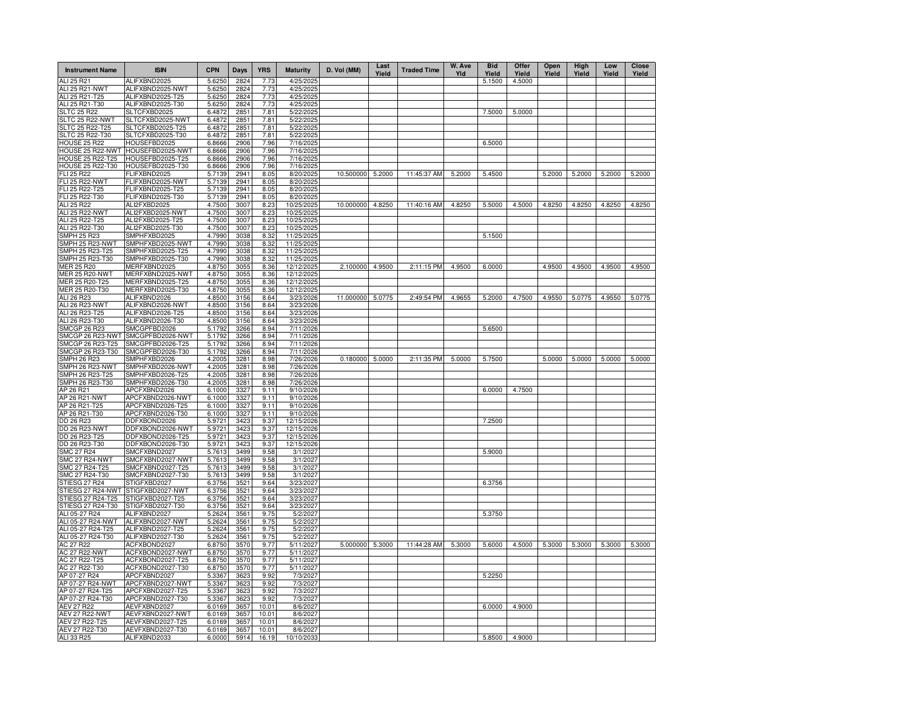| <b>Instrument Name</b>                  | <b>ISIN</b>                          | <b>CPN</b>       | Days         | <b>YRS</b>   | <b>Maturity</b>          | D. Vol (MM)     | Last<br>Yield | <b>Traded Time</b> | W. Ave<br>Yld | <b>Bid</b><br>Yield | Offer<br>Yield | Open<br>Yield | High<br>Yield | Low<br>Yield | Close<br>Yield |
|-----------------------------------------|--------------------------------------|------------------|--------------|--------------|--------------------------|-----------------|---------------|--------------------|---------------|---------------------|----------------|---------------|---------------|--------------|----------------|
| ALI 25 R21                              | ALIFXBND2025                         | 5.6250           | 2824         | 7.73         | 4/25/2025                |                 |               |                    |               | 5.1500              | 4.5000         |               |               |              |                |
| ALI 25 R21-NWT                          | ALIFXBND2025-NWT                     | 5.6250           | 2824         | 7.73         | 4/25/2025                |                 |               |                    |               |                     |                |               |               |              |                |
| ALI 25 R21-T25                          | ALIFXBND2025-T25                     | 5.6250           | 2824         | 7.73         | 4/25/2025                |                 |               |                    |               |                     |                |               |               |              |                |
| ALI 25 R21-T30<br><b>SLTC 25 R22</b>    | ALIFXBND2025-T30<br>SLTCFXBD2025     | 5.6250<br>6.4872 | 2824<br>2851 | 7.73<br>7.81 | 4/25/2025<br>5/22/2025   |                 |               |                    |               | 7.5000              | 5.0000         |               |               |              |                |
| SLTC 25 R22-NWT                         | SLTCFXBD2025-NWT                     | 6.4872           | 2851         | 7.81         | 5/22/2025                |                 |               |                    |               |                     |                |               |               |              |                |
| SLTC 25 R22-T25                         | SLTCFXBD2025-T25                     | 6.4872           | 2851         | 7.81         | 5/22/2025                |                 |               |                    |               |                     |                |               |               |              |                |
| SLTC 25 R22-T30                         | SLTCFXBD2025-T30                     | 6.4872           | 2851         | 7.81         | 5/22/2025                |                 |               |                    |               |                     |                |               |               |              |                |
| <b>HOUSE 25 R22</b>                     | HOUSEFBD2025                         | 6.8666           | 2906         | 7.96         | 7/16/2025                |                 |               |                    |               | 6.5000              |                |               |               |              |                |
| HOUSE 25 R22-NWT                        | HOUSEFBD2025-NWT                     | 6.8666           | 2906         | 7.96         | 7/16/2025                |                 |               |                    |               |                     |                |               |               |              |                |
| <b>HOUSE 25 R22-T25</b>                 | HOUSEFBD2025-T25                     | 6.8666           | 2906         | 7.96         | 7/16/2025                |                 |               |                    |               |                     |                |               |               |              |                |
| <b>HOUSE 25 R22-T30</b>                 | HOUSEFBD2025-T30                     | 6.8666           | 2906         | 7.96         | 7/16/2025                |                 |               |                    |               |                     |                |               |               |              |                |
| FLI 25 R22                              | FLIFXBND2025                         | 5.7139           | 2941         | 8.05         | 8/20/2025                | 10.500000       | 5.2000        | 11:45:37 AM        | 5.2000        | 5.4500              |                | 5.2000        | 5.2000        | 5.2000       | 5.2000         |
| FLI 25 R22-NWT<br>FLI 25 R22-T25        | FLIFXBND2025-NWT<br>FLIFXBND2025-T25 | 5.7139<br>5.7139 | 2941<br>2941 | 8.05<br>8.05 | 8/20/2025<br>8/20/2025   |                 |               |                    |               |                     |                |               |               |              |                |
| FLI 25 R22-T30                          | FLIFXBND2025-T30                     | 5.7139           | 2941         | 8.05         | 8/20/2025                |                 |               |                    |               |                     |                |               |               |              |                |
| <b>ALI 25 R22</b>                       | ALI2FXBD2025                         | 4.7500           | 3007         | 8.23         | 10/25/2025               | 10.000000       | 4.8250        | 11:40:16 AM        | 4.8250        | 5.5000              | 4.5000         | 4.8250        | 4.8250        | 4.8250       | 4.8250         |
| ALI 25 R22-NWT                          | ALI2FXBD2025-NWT                     | 4.7500           | 3007         | 8.23         | 10/25/2025               |                 |               |                    |               |                     |                |               |               |              |                |
| ALI 25 R22-T25                          | ALI2FXBD2025-T25                     | 4.7500           | 3007         | 8.23         | 10/25/2025               |                 |               |                    |               |                     |                |               |               |              |                |
| ALI 25 R22-T30                          | ALI2FXBD2025-T30                     | 4.7500           | 3007         | 8.23         | 10/25/2025               |                 |               |                    |               |                     |                |               |               |              |                |
| <b>SMPH 25 R23</b>                      | SMPHFXBD2025                         | 4.7990           | 3038         | 8.32         | 11/25/2025               |                 |               |                    |               | 5.1500              |                |               |               |              |                |
| SMPH 25 R23-NWT                         | SMPHFXBD2025-NWT                     | 4.7990           | 3038         | 8.32         | 11/25/2025               |                 |               |                    |               |                     |                |               |               |              |                |
| SMPH 25 R23-T25                         | SMPHFXBD2025-T25                     | 4.7990           | 3038         | 8.32         | 11/25/2025               |                 |               |                    |               |                     |                |               |               |              |                |
| SMPH 25 R23-T30                         | SMPHFXBD2025-T30                     | 4.7990           | 3038         | 8.32         | 11/25/2025               |                 |               |                    |               |                     |                |               |               |              |                |
| <b>MER 25 R20</b>                       | MERFXBND2025                         | 4.8750           | 3055         | 8.36         | 12/12/2025               | 2.100000        | 4.9500        | 2:11:15 PM         | 4.9500        | 6.0000              |                | 4.9500        | 4.9500        | 4.9500       | 4.9500         |
| <b>MER 25 R20-NWT</b><br>MER 25 R20-T25 | MERFXBND2025-NWT<br>MERFXBND2025-T25 | 4.8750<br>4.8750 | 3055<br>3055 | 8.36<br>8.36 | 12/12/2025<br>12/12/2025 |                 |               |                    |               |                     |                |               |               |              |                |
| MER 25 R20-T30                          | MERFXBND2025-T30                     | 4.8750           | 3055         | 8.36         | 12/12/2025               |                 |               |                    |               |                     |                |               |               |              |                |
| ALI 26 R23                              | ALIFXBND2026                         | 4.8500           | 3156         | 8.64         | 3/23/2026                | 11.000000       | 5.0775        | 2:49:54 PM         | 4.9655        | 5.2000              | 4.7500         | 4.9550        | 5.0775        | 4.9550       | 5.0775         |
| ALI 26 R23-NWT                          | ALIFXBND2026-NWT                     | 4.8500           | 3156         | 8.64         | 3/23/2026                |                 |               |                    |               |                     |                |               |               |              |                |
| ALI 26 R23-T25                          | ALIFXBND2026-T25                     | 4.8500           | 3156         | 8.64         | 3/23/2026                |                 |               |                    |               |                     |                |               |               |              |                |
| ALI 26 R23-T30                          | ALIFXBND2026-T30                     | 4.8500           | 3156         | 8.64         | 3/23/2026                |                 |               |                    |               |                     |                |               |               |              |                |
| SMCGP 26 R23                            | SMCGPFBD2026                         | 5.1792           | 3266         | 8.94         | 7/11/2026                |                 |               |                    |               | 5.6500              |                |               |               |              |                |
| SMCGP 26 R23-NWT                        | SMCGPFBD2026-NWT                     | 5.1792           | 3266         | 8.94         | 7/11/2026                |                 |               |                    |               |                     |                |               |               |              |                |
| SMCGP 26 R23-T25                        | SMCGPFBD2026-T25                     | 5.1792           | 3266         | 8.94         | 7/11/2026                |                 |               |                    |               |                     |                |               |               |              |                |
| SMCGP 26 R23-T30                        | SMCGPFBD2026-T30                     | 5.1792           | 3266         | 8.94         | 7/11/2026                |                 |               |                    |               |                     |                |               |               |              |                |
| SMPH 26 R23                             | SMPHFXBD2026                         | 4.2005           | 3281         | 8.98         | 7/26/2026                | 0.180000 5.0000 |               | 2:11:35 PM         | 5.0000        | 5.7500              |                | 5.0000        | 5.0000        | 5.0000       | 5.0000         |
| SMPH 26 R23-NWT                         | SMPHFXBD2026-NWT                     | 4.2005           | 3281         | 8.98         | 7/26/2026                |                 |               |                    |               |                     |                |               |               |              |                |
| SMPH 26 R23-T25<br>SMPH 26 R23-T30      | SMPHFXBD2026-T25                     | 4.2005           | 3281         | 8.98         | 7/26/2026                |                 |               |                    |               |                     |                |               |               |              |                |
| AP 26 R21                               | SMPHFXBD2026-T30<br>APCFXBND2026     | 4.2005<br>6.1000 | 3281<br>3327 | 8.98<br>9.11 | 7/26/2026<br>9/10/2026   |                 |               |                    |               | 6.0000              | 4.7500         |               |               |              |                |
| AP 26 R21-NWT                           | APCFXBND2026-NWT                     | 6.1000           | 3327         | 9.11         | 9/10/2026                |                 |               |                    |               |                     |                |               |               |              |                |
| AP 26 R21-T25                           | APCFXBND2026-T25                     | 6.1000           | 3327         | 9.11         | 9/10/2026                |                 |               |                    |               |                     |                |               |               |              |                |
| AP 26 R21-T30                           | APCFXBND2026-T30                     | 6.1000           | 3327         | 9.11         | 9/10/2026                |                 |               |                    |               |                     |                |               |               |              |                |
| DD 26 R23                               | DDFXBOND2026                         | 5.9721           | 3423         | 9.37         | 12/15/2026               |                 |               |                    |               | 7.2500              |                |               |               |              |                |
| DD 26 R23-NWT                           | DDFXBOND2026-NWT                     | 5.9721           | 3423         | 9.37         | 12/15/2026               |                 |               |                    |               |                     |                |               |               |              |                |
| DD 26 R23-T25                           | DDFXBOND2026-T25                     | 5.9721           | 3423         | 9.37         | 12/15/2026               |                 |               |                    |               |                     |                |               |               |              |                |
| DD 26 R23-T30                           | DDFXBOND2026-T30                     | 5.9721           | 3423         | 9.37         | 12/15/2026               |                 |               |                    |               |                     |                |               |               |              |                |
| <b>SMC 27 R24</b>                       | SMCFXBND2027                         | 5.7613           | 3499         | 9.58         | 3/1/2027                 |                 |               |                    |               | 5.9000              |                |               |               |              |                |
| <b>SMC 27 R24-NWT</b>                   | SMCFXBND2027-NWT                     | 5.7613           | 3499         | 9.58         | 3/1/2027                 |                 |               |                    |               |                     |                |               |               |              |                |
| SMC 27 R24-T25                          | SMCFXBND2027-T25                     | 5.7613           | 3499         | 9.58         | 3/1/2027                 |                 |               |                    |               |                     |                |               |               |              |                |
| SMC 27 R24-T30<br>STIESG 27 R24         | SMCFXBND2027-T30<br>STIGFXBD2027     | 5.7613<br>6.3756 | 3499<br>3521 | 9.58<br>9.64 | 3/1/2027<br>3/23/2027    |                 |               |                    |               | 6.3756              |                |               |               |              |                |
| STIESG 27 R24-NWT                       | STIGFXBD2027-NWT                     | 6.3756           | 3521         | 9.64         | 3/23/2027                |                 |               |                    |               |                     |                |               |               |              |                |
| STIESG 27 R24-T25                       | STIGFXBD2027-T25                     | 6.3756           | 3521         | 9.64         | 3/23/2027                |                 |               |                    |               |                     |                |               |               |              |                |
| STIESG 27 R24-T30                       | STIGFXBD2027-T30                     | 6.3756           | 3521         | 9.64         | 3/23/2027                |                 |               |                    |               |                     |                |               |               |              |                |
| ALI 05-27 R24                           | ALIFXBND2027                         | 5.2624           | $356 -$      | 9.75         | 5/2/2027                 |                 |               |                    |               | 5.3750              |                |               |               |              |                |
| ALI 05-27 R24-NWT                       | ALIFXBND2027-NWT                     | 5.2624           | $356 -$      | 9.75         | 5/2/2027                 |                 |               |                    |               |                     |                |               |               |              |                |
| ALI 05-27 R24-T25                       | ALIFXBND2027-T25                     | 5.2624           | $356 -$      | 9.75         | 5/2/2027                 |                 |               |                    |               |                     |                |               |               |              |                |
| ALI 05-27 R24-T30                       | ALIFXBND2027-T30                     | 5.2624           | $356 -$      | 9.75         | 5/2/2027                 |                 |               |                    |               |                     |                |               |               |              |                |
| AC 27 R22                               | ACFXBOND2027                         | 6.8750           | 3570         | 9.77         | 5/11/2027                | 5.000000 5.3000 |               | 11:44:28 AM        | 5.3000        | 5.6000              | 4.5000         | 5.3000        | 5.3000        | 5.3000       | 5.3000         |
| <b>AC 27 R22-NWT</b>                    | ACFXBOND2027-NWT                     | 6.8750           | 3570         | 9.77         | 5/11/2027                |                 |               |                    |               |                     |                |               |               |              |                |
| AC 27 R22-T25                           | ACFXBOND2027-T25                     | 6.8750           | 3570         | 9.77         | 5/11/2027                |                 |               |                    |               |                     |                |               |               |              |                |
| AC 27 R22-T30                           | ACFXBOND2027-T30                     | 6.8750           | 3570         | 9.77         | 5/11/2027                |                 |               |                    |               |                     |                |               |               |              |                |
| AP 07-27 R24<br>AP 07-27 R24-NWT        | APCFXBND2027<br>APCFXBND2027-NWT     | 5.3367<br>5.3367 | 3623<br>3623 | 9.92<br>9.92 | 7/3/2027<br>7/3/2027     |                 |               |                    |               | 5.2250              |                |               |               |              |                |
| AP 07-27 R24-T25                        | APCFXBND2027-T25                     | 5.3367           | 3623         | 9.92         | 7/3/2027                 |                 |               |                    |               |                     |                |               |               |              |                |
| AP 07-27 R24-T30                        | APCFXBND2027-T30                     | 5.3367           | 3623         | 9.92         | 7/3/2027                 |                 |               |                    |               |                     |                |               |               |              |                |
| <b>AEV 27 R22</b>                       | AEVFXBND2027                         | 6.0169           | 3657         | 10.01        | 8/6/2027                 |                 |               |                    |               | 6.0000              | 4.9000         |               |               |              |                |
| AEV 27 R22-NWT                          | AEVFXBND2027-NWT                     | 6.0169           | 3657         | 10.01        | 8/6/2027                 |                 |               |                    |               |                     |                |               |               |              |                |
| AEV 27 R22-T25                          | AEVFXBND2027-T25                     | 6.0169           | 3657         | 10.01        | 8/6/2027                 |                 |               |                    |               |                     |                |               |               |              |                |
| AEV 27 R22-T30                          | AEVFXBND2027-T30                     | 6.0169           | 3657         | 10.01        | 8/6/2027                 |                 |               |                    |               |                     |                |               |               |              |                |
| ALI 33 R25                              | ALIFXBND2033                         | 6.0000           | 5914         | 16.19        | 10/10/2033               |                 |               |                    |               | 5.8500              | 4.9000         |               |               |              |                |